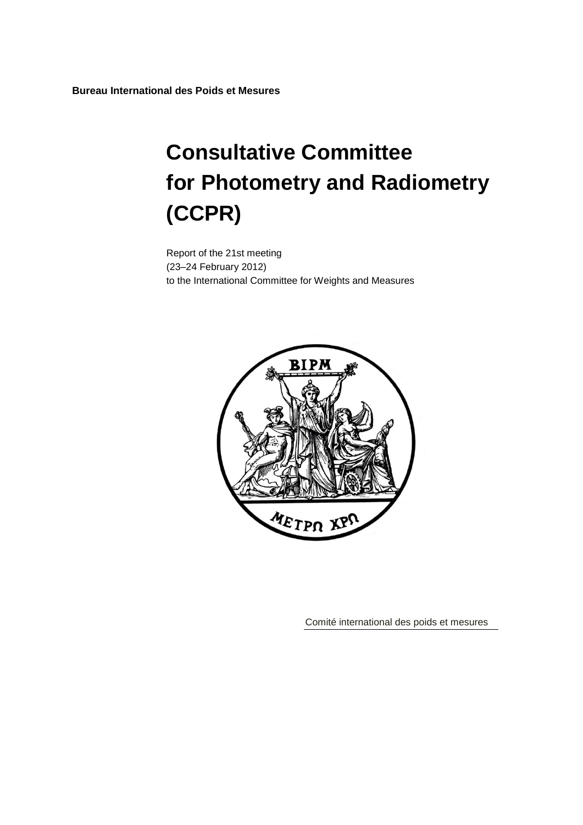**Bureau International des Poids et Mesures**

# **Consultative Committee for Photometry and Radiometry (CCPR)**

Report of the 21st meeting (23–24 February 2012) to the International Committee for Weights and Measures



Comité international des poids et mesures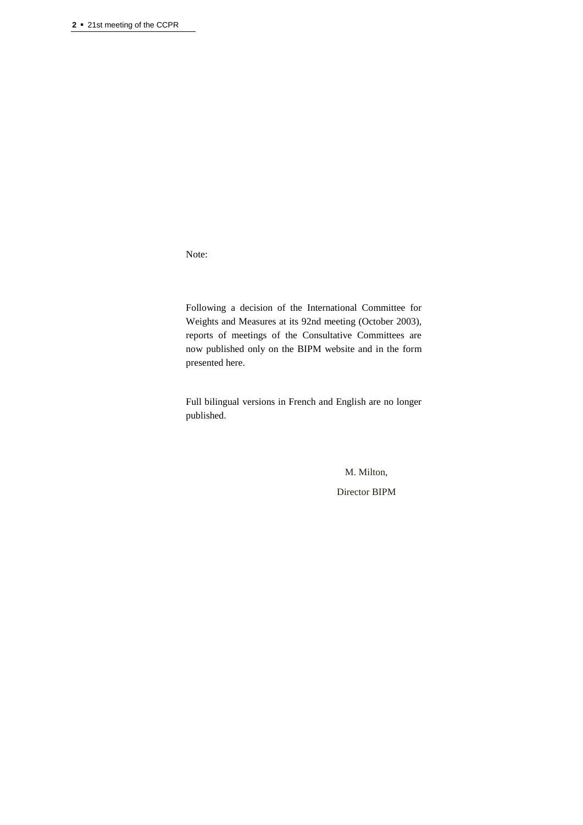Note:

Following a decision of the International Committee for Weights and Measures at its 92nd meeting (October 2003), reports of meetings of the Consultative Committees are now published only on the BIPM website and in the form presented here.

Full bilingual versions in French and English are no longer published.

M. Milton,

Director BIPM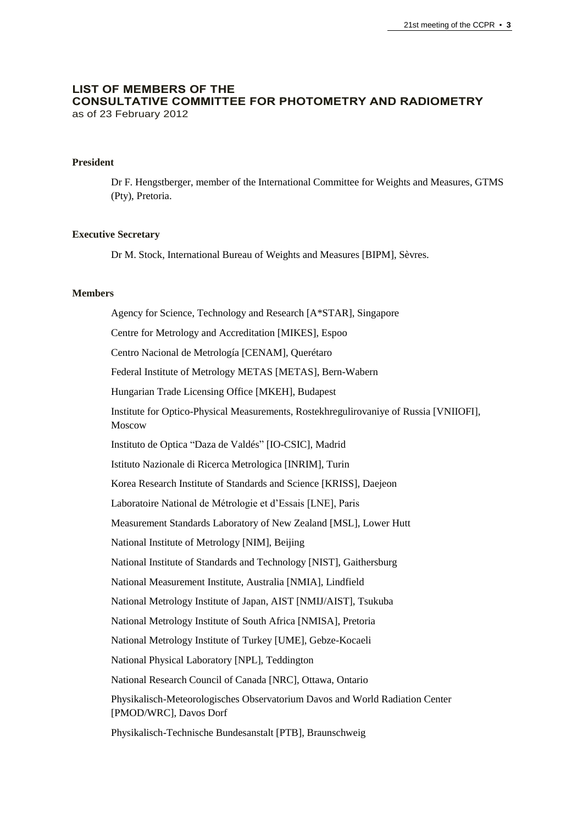#### **LIST OF MEMBERS OF THE CONSULTATIVE COMMITTEE FOR PHOTOMETRY AND RADIOMETRY** as of 23 February 2012

#### **President**

Dr F. Hengstberger, member of the International Committee for Weights and Measures, GTMS (Pty), Pretoria.

#### **Executive Secretary**

Dr M. Stock, International Bureau of Weights and Measures [BIPM], Sèvres.

#### **Members**

Agency for Science, Technology and Research [A\*STAR], Singapore Centre for Metrology and Accreditation [MIKES], Espoo Centro Nacional de Metrología [CENAM], Querétaro Federal Institute of Metrology METAS [METAS], Bern-Wabern Hungarian Trade Licensing Office [MKEH], Budapest Institute for Optico-Physical Measurements, Rostekhregulirovaniye of Russia [VNIIOFI], Moscow Instituto de Optica "Daza de Valdés" [IO-CSIC], Madrid Istituto Nazionale di Ricerca Metrologica [INRIM], Turin Korea Research Institute of Standards and Science [KRISS], Daejeon Laboratoire National de Métrologie et d'Essais [LNE], Paris Measurement Standards Laboratory of New Zealand [MSL], Lower Hutt National Institute of Metrology [NIM], Beijing National Institute of Standards and Technology [NIST], Gaithersburg National Measurement Institute, Australia [NMIA], Lindfield National Metrology Institute of Japan, AIST [NMIJ/AIST], Tsukuba National Metrology Institute of South Africa [NMISA], Pretoria National Metrology Institute of Turkey [UME], Gebze-Kocaeli National Physical Laboratory [NPL], Teddington National Research Council of Canada [NRC], Ottawa, Ontario Physikalisch-Meteorologisches Observatorium Davos and World Radiation Center [PMOD/WRC], Davos Dorf Physikalisch-Technische Bundesanstalt [PTB], Braunschweig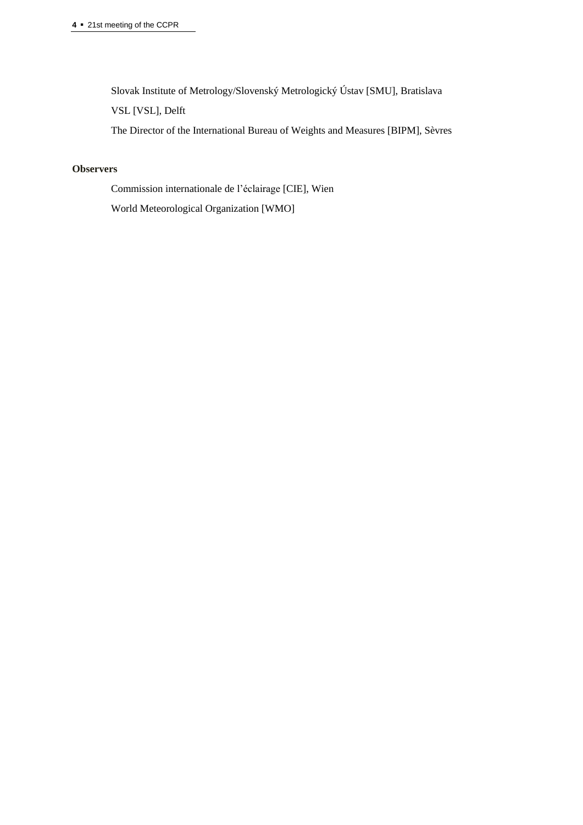Slovak Institute of Metrology/Slovenský Metrologický Ústav [SMU], Bratislava

VSL [VSL], Delft

The Director of the International Bureau of Weights and Measures [BIPM], Sèvres

# **Observers**

Commission internationale de l'éclairage [CIE], Wien

World Meteorological Organization [WMO]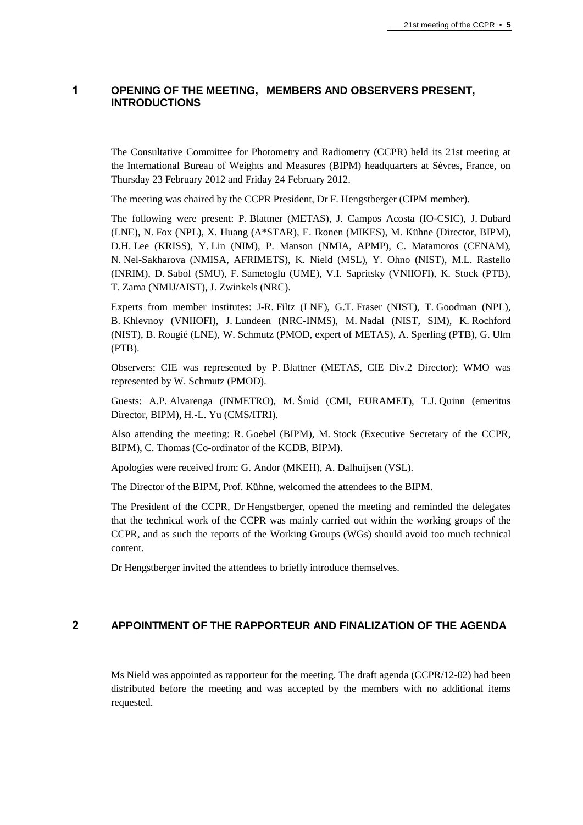# **1 OPENING OF THE MEETING, MEMBERS AND OBSERVERS PRESENT, INTRODUCTIONS**

The Consultative Committee for Photometry and Radiometry (CCPR) held its 21st meeting at the International Bureau of Weights and Measures (BIPM) headquarters at Sèvres, France, on Thursday 23 February 2012 and Friday 24 February 2012.

The meeting was chaired by the CCPR President, Dr F. Hengstberger (CIPM member).

The following were present: P. Blattner (METAS), J. Campos Acosta (IO-CSIC), J. Dubard (LNE), N. Fox (NPL), X. Huang (A\*STAR), E. Ikonen (MIKES), M. Kühne (Director, BIPM), D.H. Lee (KRISS), Y. Lin (NIM), P. Manson (NMIA, APMP), C. Matamoros (CENAM), N. Nel-Sakharova (NMISA, AFRIMETS), K. Nield (MSL), Y. Ohno (NIST), M.L. Rastello (INRIM), D. Sabol (SMU), F. Sametoglu (UME), V.I. Sapritsky (VNIIOFI), K. Stock (PTB), T. Zama (NMIJ/AIST), J. Zwinkels (NRC).

Experts from member institutes: J-R. Filtz (LNE), G.T. Fraser (NIST), T. Goodman (NPL), B. Khlevnoy (VNIIOFI), J. Lundeen (NRC-INMS), M. Nadal (NIST, SIM), K. Rochford (NIST), B. Rougié (LNE), W. Schmutz (PMOD, expert of METAS), A. Sperling (PTB), G. Ulm (PTB).

Observers: CIE was represented by P. Blattner (METAS, CIE Div.2 Director); WMO was represented by W. Schmutz (PMOD).

Guests: A.P. Alvarenga (INMETRO), M. Šmíd (CMI, EURAMET), T.J. Quinn (emeritus Director, BIPM), H.-L. Yu (CMS/ITRI).

Also attending the meeting: R. Goebel (BIPM), M. Stock (Executive Secretary of the CCPR, BIPM), C. Thomas (Co-ordinator of the KCDB, BIPM).

Apologies were received from: G. Andor (MKEH), A. Dalhuijsen (VSL).

The Director of the BIPM, Prof. Kühne, welcomed the attendees to the BIPM.

The President of the CCPR, Dr Hengstberger, opened the meeting and reminded the delegates that the technical work of the CCPR was mainly carried out within the working groups of the CCPR, and as such the reports of the Working Groups (WGs) should avoid too much technical content.

Dr Hengstberger invited the attendees to briefly introduce themselves.

# **2 APPOINTMENT OF THE RAPPORTEUR AND FINALIZATION OF THE AGENDA**

Ms Nield was appointed as rapporteur for the meeting. The draft agenda (CCPR/12-02) had been distributed before the meeting and was accepted by the members with no additional items requested.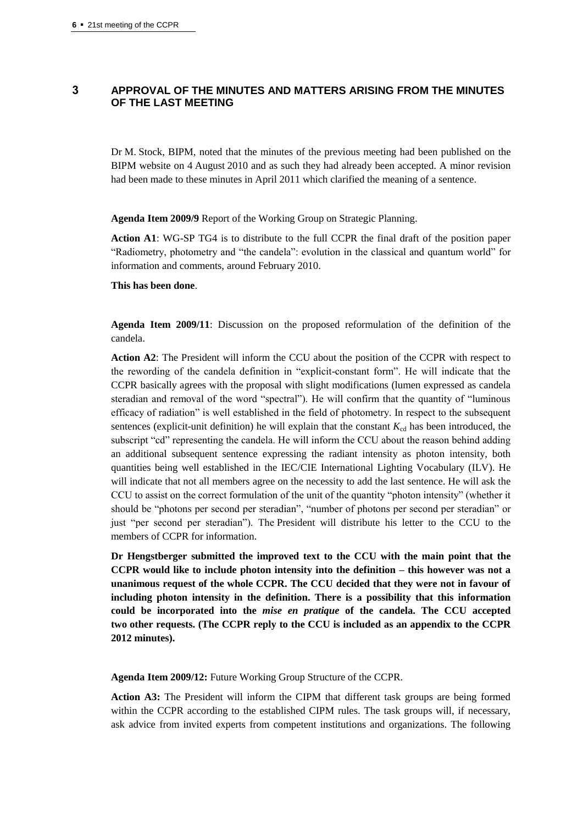# **3 APPROVAL OF THE MINUTES AND MATTERS ARISING FROM THE MINUTES OF THE LAST MEETING**

Dr M. Stock, BIPM, noted that the minutes of the previous meeting had been published on the BIPM website on 4 August 2010 and as such they had already been accepted. A minor revision had been made to these minutes in April 2011 which clarified the meaning of a sentence.

**Agenda Item 2009/9** Report of the Working Group on Strategic Planning.

**Action A1**: WG-SP TG4 is to distribute to the full CCPR the final draft of the position paper "Radiometry, photometry and "the candela": evolution in the classical and quantum world" for information and comments, around February 2010.

#### **This has been done**.

**Agenda Item 2009/11**: Discussion on the proposed reformulation of the definition of the candela.

**Action A2**: The President will inform the CCU about the position of the CCPR with respect to the rewording of the candela definition in "explicit-constant form". He will indicate that the CCPR basically agrees with the proposal with slight modifications (lumen expressed as candela steradian and removal of the word "spectral"). He will confirm that the quantity of "luminous efficacy of radiation" is well established in the field of photometry. In respect to the subsequent sentences (explicit-unit definition) he will explain that the constant  $K_{cd}$  has been introduced, the subscript "cd" representing the candela. He will inform the CCU about the reason behind adding an additional subsequent sentence expressing the radiant intensity as photon intensity, both quantities being well established in the IEC/CIE International Lighting Vocabulary (ILV). He will indicate that not all members agree on the necessity to add the last sentence. He will ask the CCU to assist on the correct formulation of the unit of the quantity "photon intensity" (whether it should be "photons per second per steradian", "number of photons per second per steradian" or just "per second per steradian"). The President will distribute his letter to the CCU to the members of CCPR for information.

**Dr Hengstberger submitted the improved text to the CCU with the main point that the CCPR would like to include photon intensity into the definition – this however was not a unanimous request of the whole CCPR. The CCU decided that they were not in favour of including photon intensity in the definition. There is a possibility that this information could be incorporated into the** *mise en pratique* **of the candela. The CCU accepted two other requests. (The CCPR reply to the CCU is included as an appendix to the CCPR 2012 minutes).**

**Agenda Item 2009/12:** Future Working Group Structure of the CCPR.

**Action A3:** The President will inform the CIPM that different task groups are being formed within the CCPR according to the established CIPM rules. The task groups will, if necessary, ask advice from invited experts from competent institutions and organizations. The following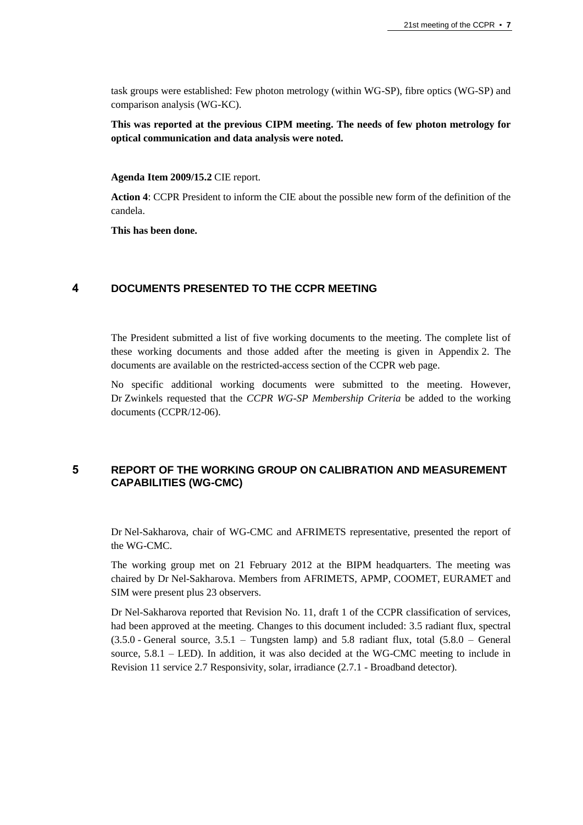task groups were established: Few photon metrology (within WG-SP), fibre optics (WG-SP) and comparison analysis (WG-KC).

**This was reported at the previous CIPM meeting. The needs of few photon metrology for optical communication and data analysis were noted.**

#### **Agenda Item 2009/15.2** CIE report.

**Action 4**: CCPR President to inform the CIE about the possible new form of the definition of the candela.

**This has been done.**

## **4 DOCUMENTS PRESENTED TO THE CCPR MEETING**

The President submitted a list of five working documents to the meeting. The complete list of these working documents and those added after the meeting is given in Appendix 2. The documents are available on the restricted-access section of the CCPR web page.

No specific additional working documents were submitted to the meeting. However, Dr Zwinkels requested that the *CCPR WG-SP Membership Criteria* be added to the working documents (CCPR/12-06).

# **5 REPORT OF THE WORKING GROUP ON CALIBRATION AND MEASUREMENT CAPABILITIES (WG-CMC)**

Dr Nel-Sakharova, chair of WG-CMC and AFRIMETS representative, presented the report of the WG-CMC.

The working group met on 21 February 2012 at the BIPM headquarters. The meeting was chaired by Dr Nel-Sakharova. Members from AFRIMETS, APMP, COOMET, EURAMET and SIM were present plus 23 observers.

Dr Nel-Sakharova reported that Revision No. 11, draft 1 of the CCPR classification of services, had been approved at the meeting. Changes to this document included: 3.5 radiant flux, spectral  $(3.5.0 \text{ - General source}, 3.5.1 \text{ - Tungsten lamp})$  and 5.8 radiant flux, total  $(5.8.0 \text{ - General})$ source, 5.8.1 – LED). In addition, it was also decided at the WG-CMC meeting to include in Revision 11 service 2.7 Responsivity, solar, irradiance (2.7.1 - Broadband detector).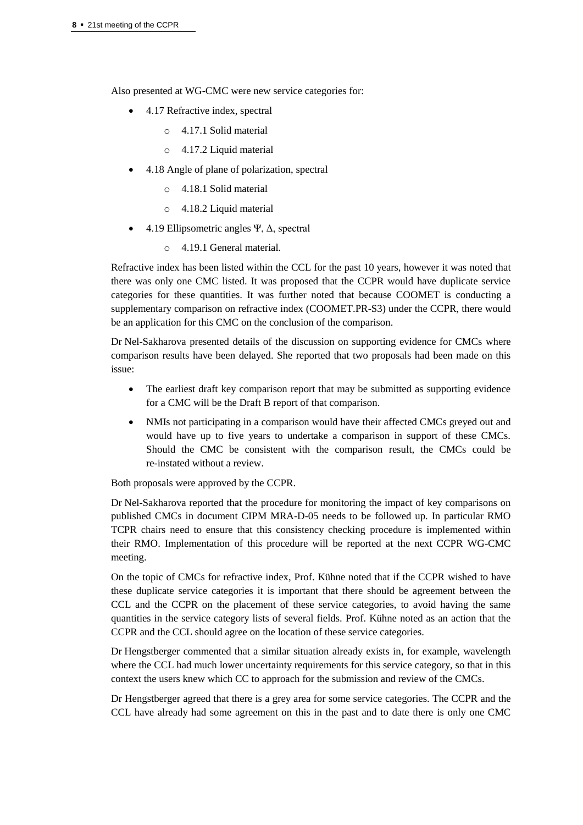Also presented at WG-CMC were new service categories for:

- 4.17 Refractive index, spectral
	- o 4.17.1 Solid material
	- o 4.17.2 Liquid material
- 4.18 Angle of plane of polarization, spectral
	- o 4.18.1 Solid material
	- o 4.18.2 Liquid material
- 4.19 Ellipsometric angles Ψ, Δ, spectral
	- o 4.19.1 General material.

Refractive index has been listed within the CCL for the past 10 years, however it was noted that there was only one CMC listed. It was proposed that the CCPR would have duplicate service categories for these quantities. It was further noted that because COOMET is conducting a supplementary comparison on refractive index (COOMET.PR-S3) under the CCPR, there would be an application for this CMC on the conclusion of the comparison.

Dr Nel-Sakharova presented details of the discussion on supporting evidence for CMCs where comparison results have been delayed. She reported that two proposals had been made on this issue:

- The earliest draft key comparison report that may be submitted as supporting evidence for a CMC will be the Draft B report of that comparison.
- NMIs not participating in a comparison would have their affected CMCs greyed out and would have up to five years to undertake a comparison in support of these CMCs. Should the CMC be consistent with the comparison result, the CMCs could be re-instated without a review.

Both proposals were approved by the CCPR.

Dr Nel-Sakharova reported that the procedure for monitoring the impact of key comparisons on published CMCs in document CIPM MRA-D-05 needs to be followed up. In particular RMO TCPR chairs need to ensure that this consistency checking procedure is implemented within their RMO. Implementation of this procedure will be reported at the next CCPR WG-CMC meeting.

On the topic of CMCs for refractive index, Prof. Kühne noted that if the CCPR wished to have these duplicate service categories it is important that there should be agreement between the CCL and the CCPR on the placement of these service categories, to avoid having the same quantities in the service category lists of several fields. Prof. Kühne noted as an action that the CCPR and the CCL should agree on the location of these service categories.

Dr Hengstberger commented that a similar situation already exists in, for example, wavelength where the CCL had much lower uncertainty requirements for this service category, so that in this context the users knew which CC to approach for the submission and review of the CMCs.

Dr Hengstberger agreed that there is a grey area for some service categories. The CCPR and the CCL have already had some agreement on this in the past and to date there is only one CMC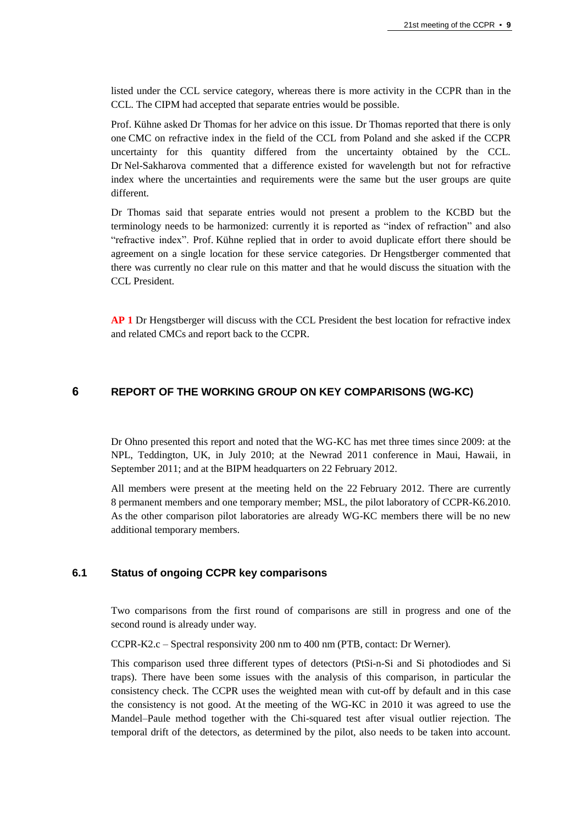listed under the CCL service category, whereas there is more activity in the CCPR than in the CCL. The CIPM had accepted that separate entries would be possible.

Prof. Kühne asked Dr Thomas for her advice on this issue. Dr Thomas reported that there is only one CMC on refractive index in the field of the CCL from Poland and she asked if the CCPR uncertainty for this quantity differed from the uncertainty obtained by the CCL. Dr Nel-Sakharova commented that a difference existed for wavelength but not for refractive index where the uncertainties and requirements were the same but the user groups are quite different.

Dr Thomas said that separate entries would not present a problem to the KCBD but the terminology needs to be harmonized: currently it is reported as "index of refraction" and also "refractive index". Prof. Kühne replied that in order to avoid duplicate effort there should be agreement on a single location for these service categories. Dr Hengstberger commented that there was currently no clear rule on this matter and that he would discuss the situation with the CCL President.

**AP 1** Dr Hengstberger will discuss with the CCL President the best location for refractive index and related CMCs and report back to the CCPR.

# **6 REPORT OF THE WORKING GROUP ON KEY COMPARISONS (WG-KC)**

Dr Ohno presented this report and noted that the WG-KC has met three times since 2009: at the NPL, Teddington, UK, in July 2010; at the Newrad 2011 conference in Maui, Hawaii, in September 2011; and at the BIPM headquarters on 22 February 2012.

All members were present at the meeting held on the 22 February 2012. There are currently 8 permanent members and one temporary member; MSL, the pilot laboratory of CCPR-K6.2010. As the other comparison pilot laboratories are already WG-KC members there will be no new additional temporary members.

# **6.1 Status of ongoing CCPR key comparisons**

Two comparisons from the first round of comparisons are still in progress and one of the second round is already under way.

CCPR-K2.c – Spectral responsivity 200 nm to 400 nm (PTB, contact: Dr Werner).

This comparison used three different types of detectors (PtSi-n-Si and Si photodiodes and Si traps). There have been some issues with the analysis of this comparison, in particular the consistency check. The CCPR uses the weighted mean with cut-off by default and in this case the consistency is not good. At the meeting of the WG-KC in 2010 it was agreed to use the Mandel–Paule method together with the Chi-squared test after visual outlier rejection. The temporal drift of the detectors, as determined by the pilot, also needs to be taken into account.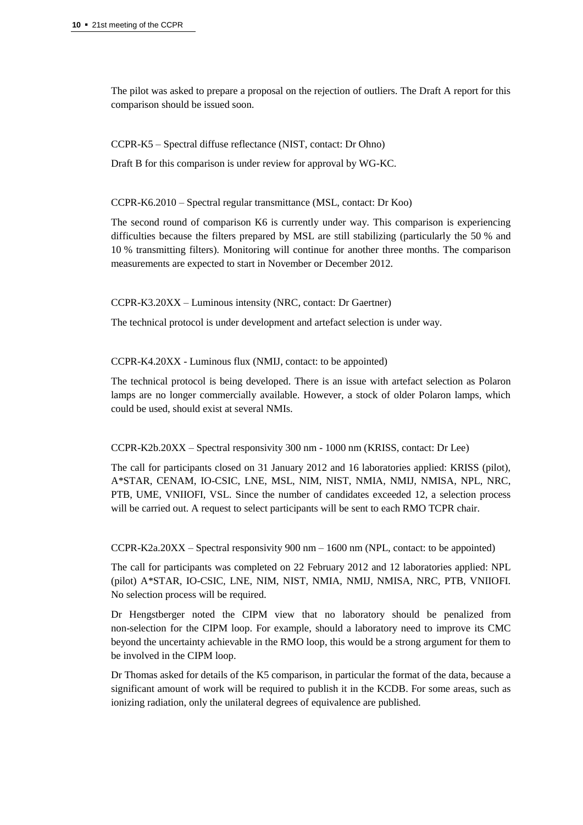The pilot was asked to prepare a proposal on the rejection of outliers. The Draft A report for this comparison should be issued soon.

CCPR-K5 – Spectral diffuse reflectance (NIST, contact: Dr Ohno)

Draft B for this comparison is under review for approval by WG-KC.

CCPR-K6.2010 – Spectral regular transmittance (MSL, contact: Dr Koo)

The second round of comparison K6 is currently under way. This comparison is experiencing difficulties because the filters prepared by MSL are still stabilizing (particularly the 50 % and 10 % transmitting filters). Monitoring will continue for another three months. The comparison measurements are expected to start in November or December 2012.

CCPR-K3.20XX – Luminous intensity (NRC, contact: Dr Gaertner)

The technical protocol is under development and artefact selection is under way.

CCPR-K4.20XX - Luminous flux (NMIJ, contact: to be appointed)

The technical protocol is being developed. There is an issue with artefact selection as Polaron lamps are no longer commercially available. However, a stock of older Polaron lamps, which could be used, should exist at several NMIs.

## CCPR-K2b.20XX – Spectral responsivity 300 nm - 1000 nm (KRISS, contact: Dr Lee)

The call for participants closed on 31 January 2012 and 16 laboratories applied: KRISS (pilot), A\*STAR, CENAM, IO-CSIC, LNE, MSL, NIM, NIST, NMIA, NMIJ, NMISA, NPL, NRC, PTB, UME, VNIIOFI, VSL. Since the number of candidates exceeded 12, a selection process will be carried out. A request to select participants will be sent to each RMO TCPR chair.

CCPR-K2a.20XX – Spectral responsivity 900 nm – 1600 nm (NPL, contact: to be appointed)

The call for participants was completed on 22 February 2012 and 12 laboratories applied: NPL (pilot) A\*STAR, IO-CSIC, LNE, NIM, NIST, NMIA, NMIJ, NMISA, NRC, PTB, VNIIOFI. No selection process will be required.

Dr Hengstberger noted the CIPM view that no laboratory should be penalized from non-selection for the CIPM loop. For example, should a laboratory need to improve its CMC beyond the uncertainty achievable in the RMO loop, this would be a strong argument for them to be involved in the CIPM loop.

Dr Thomas asked for details of the K5 comparison, in particular the format of the data, because a significant amount of work will be required to publish it in the KCDB. For some areas, such as ionizing radiation, only the unilateral degrees of equivalence are published.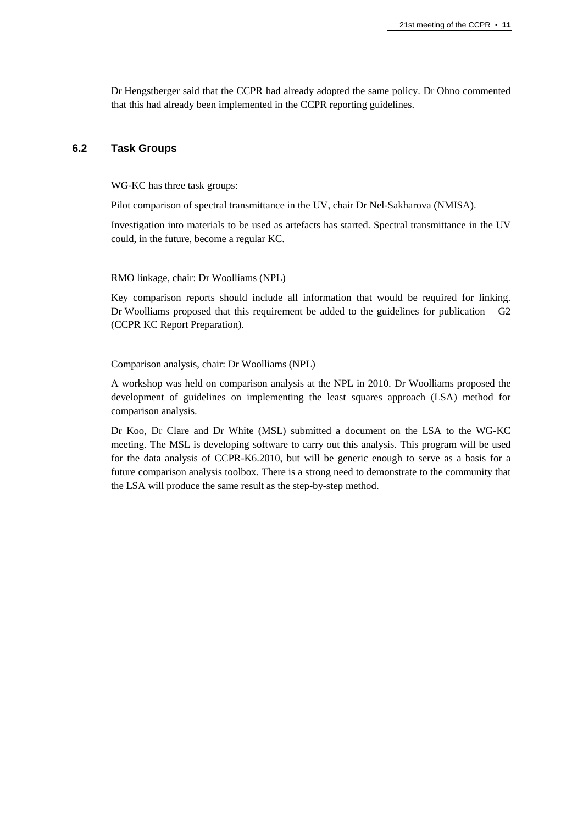Dr Hengstberger said that the CCPR had already adopted the same policy. Dr Ohno commented that this had already been implemented in the CCPR reporting guidelines.

## **6.2 Task Groups**

WG-KC has three task groups:

Pilot comparison of spectral transmittance in the UV, chair Dr Nel-Sakharova (NMISA).

Investigation into materials to be used as artefacts has started. Spectral transmittance in the UV could, in the future, become a regular KC.

RMO linkage, chair: Dr Woolliams (NPL)

Key comparison reports should include all information that would be required for linking. Dr Woolliams proposed that this requirement be added to the guidelines for publication  $- G<sub>2</sub>$ (CCPR KC Report Preparation).

Comparison analysis, chair: Dr Woolliams (NPL)

A workshop was held on comparison analysis at the NPL in 2010. Dr Woolliams proposed the development of guidelines on implementing the least squares approach (LSA) method for comparison analysis.

Dr Koo, Dr Clare and Dr White (MSL) submitted a document on the LSA to the WG-KC meeting. The MSL is developing software to carry out this analysis. This program will be used for the data analysis of CCPR-K6.2010, but will be generic enough to serve as a basis for a future comparison analysis toolbox. There is a strong need to demonstrate to the community that the LSA will produce the same result as the step-by-step method.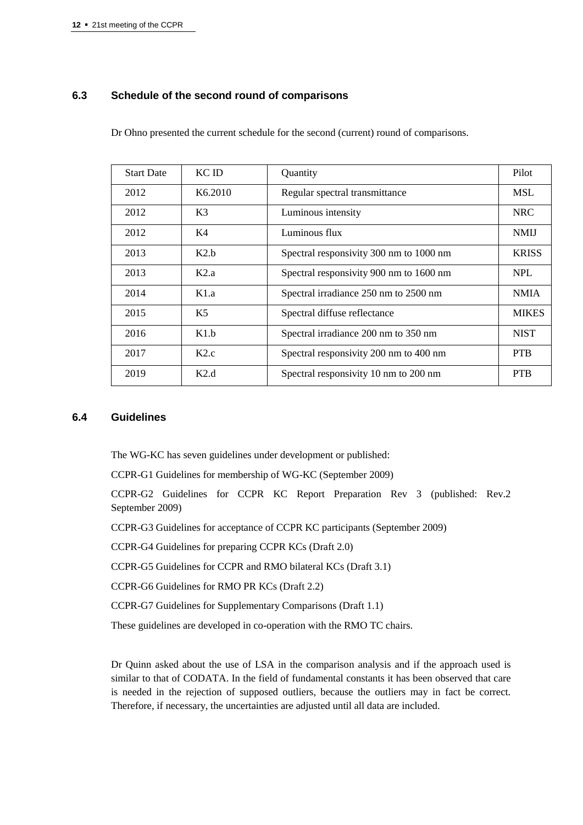# **6.3 Schedule of the second round of comparisons**

Dr Ohno presented the current schedule for the second (current) round of comparisons.

| <b>Start Date</b> | KC ID               | Quantity                                | Pilot        |
|-------------------|---------------------|-----------------------------------------|--------------|
| 2012              | K <sub>6.2010</sub> | Regular spectral transmittance          | <b>MSL</b>   |
| 2012              | K <sub>3</sub>      | Luminous intensity                      | <b>NRC</b>   |
| 2012              | K4                  | Luminous flux                           | <b>NMIJ</b>  |
| 2013              | K2.h                | Spectral responsivity 300 nm to 1000 nm | <b>KRISS</b> |
| 2013              | K2.a                | Spectral responsivity 900 nm to 1600 nm | <b>NPL</b>   |
| 2014              | K1.a                | Spectral irradiance 250 nm to 2500 nm   | <b>NMIA</b>  |
| 2015              | K5                  | Spectral diffuse reflectance            | <b>MIKES</b> |
| 2016              | K1.h                | Spectral irradiance 200 nm to 350 nm    | <b>NIST</b>  |
| 2017              | K2.c                | Spectral responsivity 200 nm to 400 nm  | <b>PTB</b>   |
| 2019              | K2.d                | Spectral responsivity 10 nm to 200 nm   | <b>PTB</b>   |

## **6.4 Guidelines**

The WG-KC has seven guidelines under development or published:

CCPR-G1 Guidelines for membership of WG-KC (September 2009)

CCPR-G2 Guidelines for CCPR KC Report Preparation Rev 3 (published: Rev.2 September 2009)

CCPR-G3 Guidelines for acceptance of CCPR KC participants (September 2009)

CCPR-G4 Guidelines for preparing CCPR KCs (Draft 2.0)

CCPR-G5 Guidelines for CCPR and RMO bilateral KCs (Draft 3.1)

CCPR-G6 Guidelines for RMO PR KCs (Draft 2.2)

CCPR-G7 Guidelines for Supplementary Comparisons (Draft 1.1)

These guidelines are developed in co-operation with the RMO TC chairs.

Dr Quinn asked about the use of LSA in the comparison analysis and if the approach used is similar to that of CODATA. In the field of fundamental constants it has been observed that care is needed in the rejection of supposed outliers, because the outliers may in fact be correct. Therefore, if necessary, the uncertainties are adjusted until all data are included.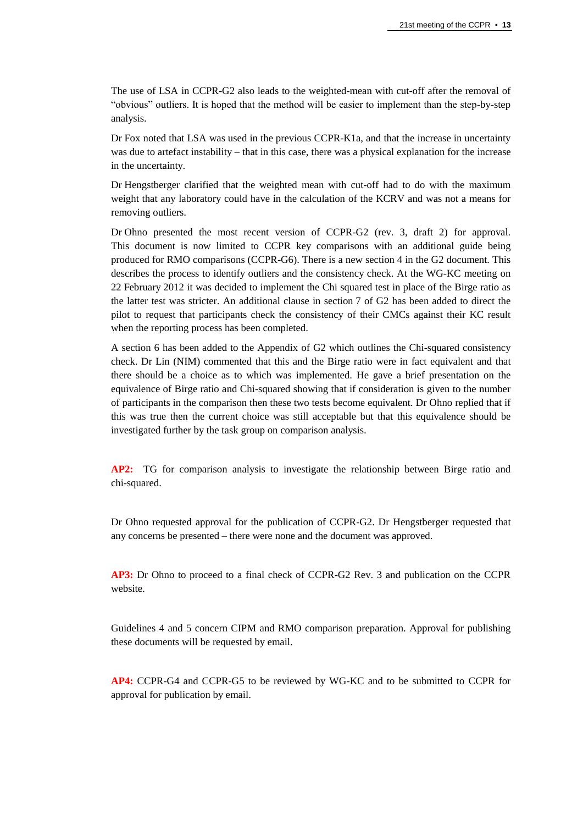The use of LSA in CCPR-G2 also leads to the weighted-mean with cut-off after the removal of "obvious" outliers. It is hoped that the method will be easier to implement than the step-by-step analysis.

Dr Fox noted that LSA was used in the previous CCPR-K1a, and that the increase in uncertainty was due to artefact instability – that in this case, there was a physical explanation for the increase in the uncertainty.

Dr Hengstberger clarified that the weighted mean with cut-off had to do with the maximum weight that any laboratory could have in the calculation of the KCRV and was not a means for removing outliers.

Dr Ohno presented the most recent version of CCPR-G2 (rev. 3, draft 2) for approval. This document is now limited to CCPR key comparisons with an additional guide being produced for RMO comparisons (CCPR-G6). There is a new section 4 in the G2 document. This describes the process to identify outliers and the consistency check. At the WG-KC meeting on 22 February 2012 it was decided to implement the Chi squared test in place of the Birge ratio as the latter test was stricter. An additional clause in section 7 of G2 has been added to direct the pilot to request that participants check the consistency of their CMCs against their KC result when the reporting process has been completed.

A section 6 has been added to the Appendix of G2 which outlines the Chi-squared consistency check. Dr Lin (NIM) commented that this and the Birge ratio were in fact equivalent and that there should be a choice as to which was implemented. He gave a brief presentation on the equivalence of Birge ratio and Chi-squared showing that if consideration is given to the number of participants in the comparison then these two tests become equivalent. Dr Ohno replied that if this was true then the current choice was still acceptable but that this equivalence should be investigated further by the task group on comparison analysis.

**AP2:** TG for comparison analysis to investigate the relationship between Birge ratio and chi-squared.

Dr Ohno requested approval for the publication of CCPR-G2. Dr Hengstberger requested that any concerns be presented – there were none and the document was approved.

**AP3:** Dr Ohno to proceed to a final check of CCPR-G2 Rev. 3 and publication on the CCPR website.

Guidelines 4 and 5 concern CIPM and RMO comparison preparation. Approval for publishing these documents will be requested by email.

**AP4:** CCPR-G4 and CCPR-G5 to be reviewed by WG-KC and to be submitted to CCPR for approval for publication by email.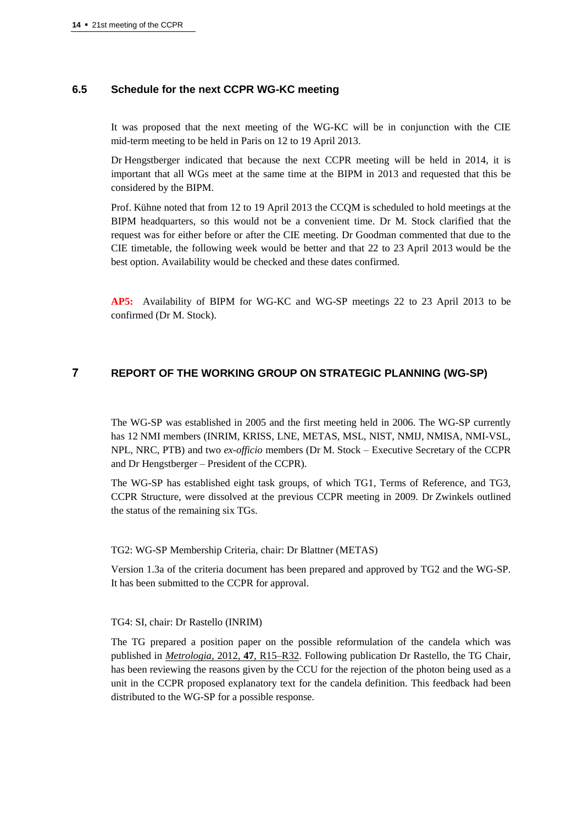## **6.5 Schedule for the next CCPR WG-KC meeting**

It was proposed that the next meeting of the WG-KC will be in conjunction with the CIE mid-term meeting to be held in Paris on 12 to 19 April 2013.

Dr Hengstberger indicated that because the next CCPR meeting will be held in 2014, it is important that all WGs meet at the same time at the BIPM in 2013 and requested that this be considered by the BIPM.

Prof. Kühne noted that from 12 to 19 April 2013 the CCQM is scheduled to hold meetings at the BIPM headquarters, so this would not be a convenient time. Dr M. Stock clarified that the request was for either before or after the CIE meeting. Dr Goodman commented that due to the CIE timetable, the following week would be better and that 22 to 23 April 2013 would be the best option. Availability would be checked and these dates confirmed.

**AP5:** Availability of BIPM for WG-KC and WG-SP meetings 22 to 23 April 2013 to be confirmed (Dr M. Stock).

# **7 REPORT OF THE WORKING GROUP ON STRATEGIC PLANNING (WG-SP)**

The WG-SP was established in 2005 and the first meeting held in 2006. The WG-SP currently has 12 NMI members (INRIM, KRISS, LNE, METAS, MSL, NIST, NMIJ, NMISA, NMI-VSL, NPL, NRC, PTB) and two *ex-officio* members (Dr M. Stock – Executive Secretary of the CCPR and Dr Hengstberger – President of the CCPR).

The WG-SP has established eight task groups, of which TG1, Terms of Reference, and TG3, CCPR Structure, were dissolved at the previous CCPR meeting in 2009. Dr Zwinkels outlined the status of the remaining six TGs.

TG2: WG-SP Membership Criteria, chair: Dr Blattner (METAS)

Version 1.3a of the criteria document has been prepared and approved by TG2 and the WG-SP. It has been submitted to the CCPR for approval.

#### TG4: SI, chair: Dr Rastello (INRIM)

The TG prepared a position paper on the possible reformulation of the candela which was published in *[Metrologia](http://stacks.iop.org/0026-1394/47/R15)*, 2012, **47**, R15–R32. Following publication Dr Rastello, the TG Chair, has been reviewing the reasons given by the CCU for the rejection of the photon being used as a unit in the CCPR proposed explanatory text for the candela definition. This feedback had been distributed to the WG-SP for a possible response.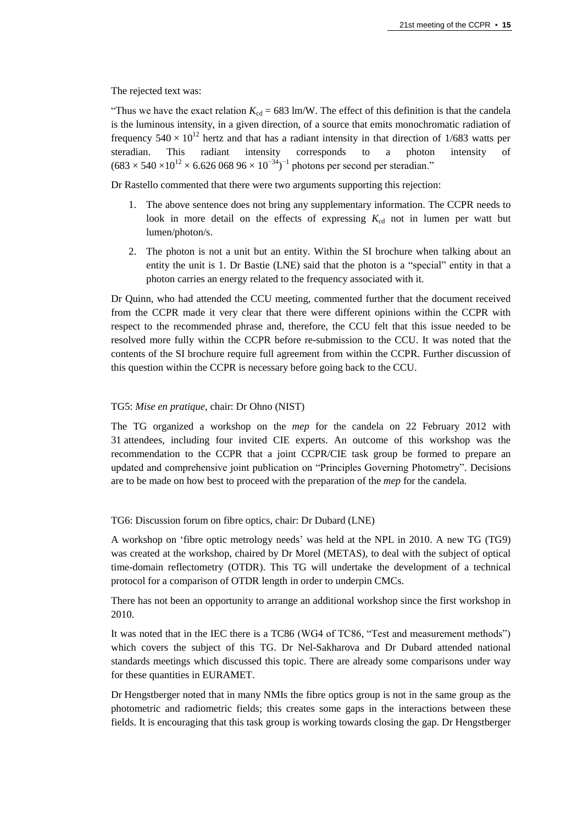The rejected text was:

"Thus we have the exact relation  $K_{cd} = 683 \text{ lm/W}$ . The effect of this definition is that the candela is the luminous intensity, in a given direction, of a source that emits monochromatic radiation of frequency  $540 \times 10^{12}$  hertz and that has a radiant intensity in that direction of 1/683 watts per steradian. This radiant intensity corresponds to a photon intensity of  $(683 \times 540 \times 10^{12} \times 6.626\,068\,96 \times 10^{-34})^{-1}$  photons per second per steradian."

Dr Rastello commented that there were two arguments supporting this rejection:

- 1. The above sentence does not bring any supplementary information. The CCPR needs to look in more detail on the effects of expressing  $K_{cd}$  not in lumen per watt but lumen/photon/s.
- 2. The photon is not a unit but an entity. Within the SI brochure when talking about an entity the unit is 1. Dr Bastie (LNE) said that the photon is a "special" entity in that a photon carries an energy related to the frequency associated with it.

Dr Quinn, who had attended the CCU meeting, commented further that the document received from the CCPR made it very clear that there were different opinions within the CCPR with respect to the recommended phrase and, therefore, the CCU felt that this issue needed to be resolved more fully within the CCPR before re-submission to the CCU. It was noted that the contents of the SI brochure require full agreement from within the CCPR. Further discussion of this question within the CCPR is necessary before going back to the CCU.

#### TG5: *Mise en pratique*, chair: Dr Ohno (NIST)

The TG organized a workshop on the *mep* for the candela on 22 February 2012 with 31 attendees, including four invited CIE experts. An outcome of this workshop was the recommendation to the CCPR that a joint CCPR/CIE task group be formed to prepare an updated and comprehensive joint publication on "Principles Governing Photometry". Decisions are to be made on how best to proceed with the preparation of the *mep* for the candela.

TG6: Discussion forum on fibre optics, chair: Dr Dubard (LNE)

A workshop on 'fibre optic metrology needs' was held at the NPL in 2010. A new TG (TG9) was created at the workshop, chaired by Dr Morel (METAS), to deal with the subject of optical time-domain reflectometry (OTDR). This TG will undertake the development of a technical protocol for a comparison of OTDR length in order to underpin CMCs.

There has not been an opportunity to arrange an additional workshop since the first workshop in 2010.

It was noted that in the IEC there is a TC86 (WG4 of TC86, "Test and measurement methods") which covers the subject of this TG. Dr Nel-Sakharova and Dr Dubard attended national standards meetings which discussed this topic. There are already some comparisons under way for these quantities in EURAMET.

Dr Hengstberger noted that in many NMIs the fibre optics group is not in the same group as the photometric and radiometric fields; this creates some gaps in the interactions between these fields. It is encouraging that this task group is working towards closing the gap. Dr Hengstberger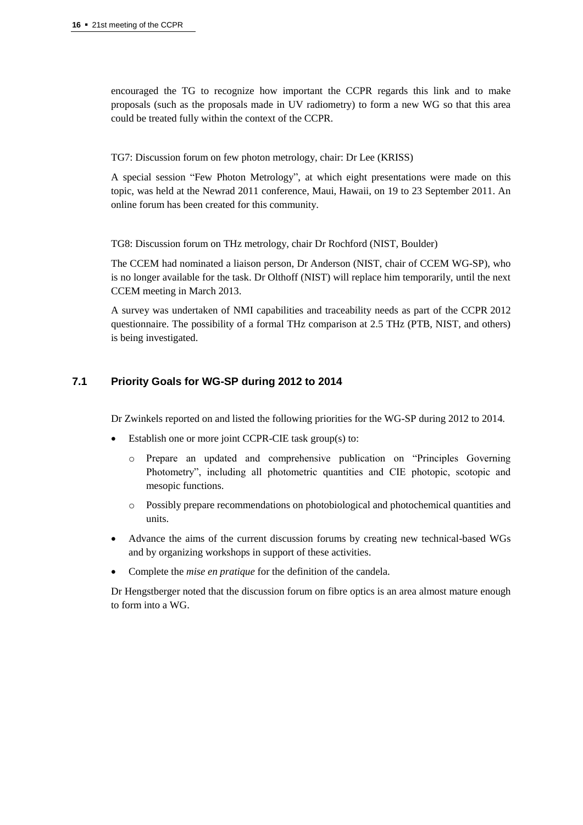encouraged the TG to recognize how important the CCPR regards this link and to make proposals (such as the proposals made in UV radiometry) to form a new WG so that this area could be treated fully within the context of the CCPR.

TG7: Discussion forum on few photon metrology, chair: Dr Lee (KRISS)

A special session "Few Photon Metrology", at which eight presentations were made on this topic, was held at the Newrad 2011 conference, Maui, Hawaii, on 19 to 23 September 2011. An online forum has been created for this community.

TG8: Discussion forum on THz metrology, chair Dr Rochford (NIST, Boulder)

The CCEM had nominated a liaison person, Dr Anderson (NIST, chair of CCEM WG-SP), who is no longer available for the task. Dr Olthoff (NIST) will replace him temporarily, until the next CCEM meeting in March 2013.

A survey was undertaken of NMI capabilities and traceability needs as part of the CCPR 2012 questionnaire. The possibility of a formal THz comparison at 2.5 THz (PTB, NIST, and others) is being investigated.

# **7.1 Priority Goals for WG-SP during 2012 to 2014**

Dr Zwinkels reported on and listed the following priorities for the WG-SP during 2012 to 2014.

- Establish one or more joint CCPR-CIE task group(s) to:
	- o Prepare an updated and comprehensive publication on "Principles Governing Photometry", including all photometric quantities and CIE photopic, scotopic and mesopic functions.
	- o Possibly prepare recommendations on photobiological and photochemical quantities and units.
- Advance the aims of the current discussion forums by creating new technical-based WGs and by organizing workshops in support of these activities.
- Complete the *mise en pratique* for the definition of the candela.

Dr Hengstberger noted that the discussion forum on fibre optics is an area almost mature enough to form into a WG.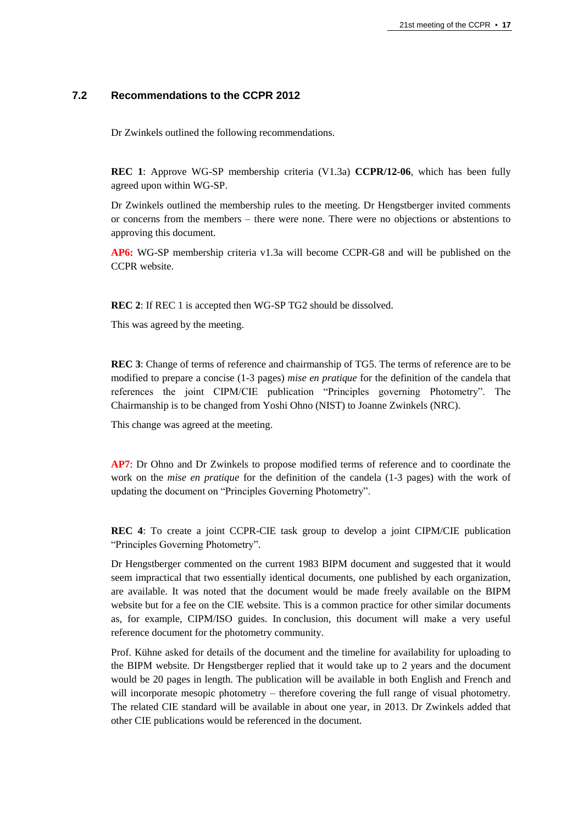# **7.2 Recommendations to the CCPR 2012**

Dr Zwinkels outlined the following recommendations.

**REC 1**: Approve WG-SP membership criteria (V1.3a) **CCPR/12-06**, which has been fully agreed upon within WG-SP.

Dr Zwinkels outlined the membership rules to the meeting. Dr Hengstberger invited comments or concerns from the members – there were none. There were no objections or abstentions to approving this document.

**AP6:** WG-SP membership criteria v1.3a will become CCPR-G8 and will be published on the CCPR website.

**REC 2**: If REC 1 is accepted then WG-SP TG2 should be dissolved.

This was agreed by the meeting.

**REC 3**: Change of terms of reference and chairmanship of TG5. The terms of reference are to be modified to prepare a concise (1-3 pages) *mise en pratique* for the definition of the candela that references the joint CIPM/CIE publication "Principles governing Photometry". The Chairmanship is to be changed from Yoshi Ohno (NIST) to Joanne Zwinkels (NRC).

This change was agreed at the meeting.

**AP7**: Dr Ohno and Dr Zwinkels to propose modified terms of reference and to coordinate the work on the *mise en pratique* for the definition of the candela (1-3 pages) with the work of updating the document on "Principles Governing Photometry".

**REC 4**: To create a joint CCPR-CIE task group to develop a joint CIPM/CIE publication "Principles Governing Photometry".

Dr Hengstberger commented on the current 1983 BIPM document and suggested that it would seem impractical that two essentially identical documents, one published by each organization, are available. It was noted that the document would be made freely available on the BIPM website but for a fee on the CIE website. This is a common practice for other similar documents as, for example, CIPM/ISO guides. In conclusion, this document will make a very useful reference document for the photometry community.

Prof. Kühne asked for details of the document and the timeline for availability for uploading to the BIPM website. Dr Hengstberger replied that it would take up to 2 years and the document would be 20 pages in length. The publication will be available in both English and French and will incorporate mesopic photometry – therefore covering the full range of visual photometry. The related CIE standard will be available in about one year, in 2013. Dr Zwinkels added that other CIE publications would be referenced in the document.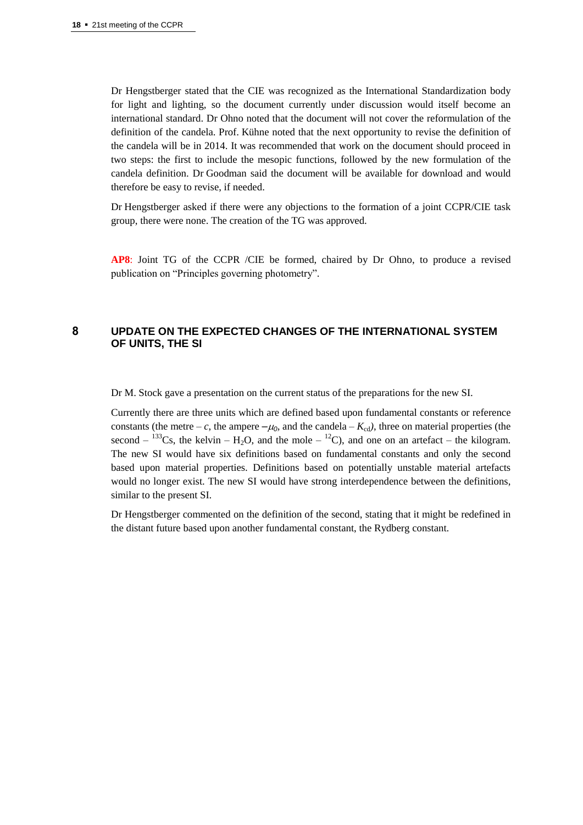Dr Hengstberger stated that the CIE was recognized as the International Standardization body for light and lighting, so the document currently under discussion would itself become an international standard. Dr Ohno noted that the document will not cover the reformulation of the definition of the candela. Prof. Kühne noted that the next opportunity to revise the definition of the candela will be in 2014. It was recommended that work on the document should proceed in two steps: the first to include the mesopic functions, followed by the new formulation of the candela definition. Dr Goodman said the document will be available for download and would therefore be easy to revise, if needed.

Dr Hengstberger asked if there were any objections to the formation of a joint CCPR/CIE task group, there were none. The creation of the TG was approved.

**AP8**: Joint TG of the CCPR /CIE be formed, chaired by Dr Ohno, to produce a revised publication on "Principles governing photometry".

# **8 UPDATE ON THE EXPECTED CHANGES OF THE INTERNATIONAL SYSTEM OF UNITS, THE SI**

Dr M. Stock gave a presentation on the current status of the preparations for the new SI.

Currently there are three units which are defined based upon fundamental constants or reference constants (the metre – *c*, the ampere  $-\mu_0$  and the candela –  $K_{cd}$ ), three on material properties (the second  $-$  <sup>133</sup>Cs, the kelvin – H<sub>2</sub>O, and the mole – <sup>12</sup>C), and one on an artefact – the kilogram. The new SI would have six definitions based on fundamental constants and only the second based upon material properties. Definitions based on potentially unstable material artefacts would no longer exist. The new SI would have strong interdependence between the definitions, similar to the present SI.

Dr Hengstberger commented on the definition of the second, stating that it might be redefined in the distant future based upon another fundamental constant, the Rydberg constant.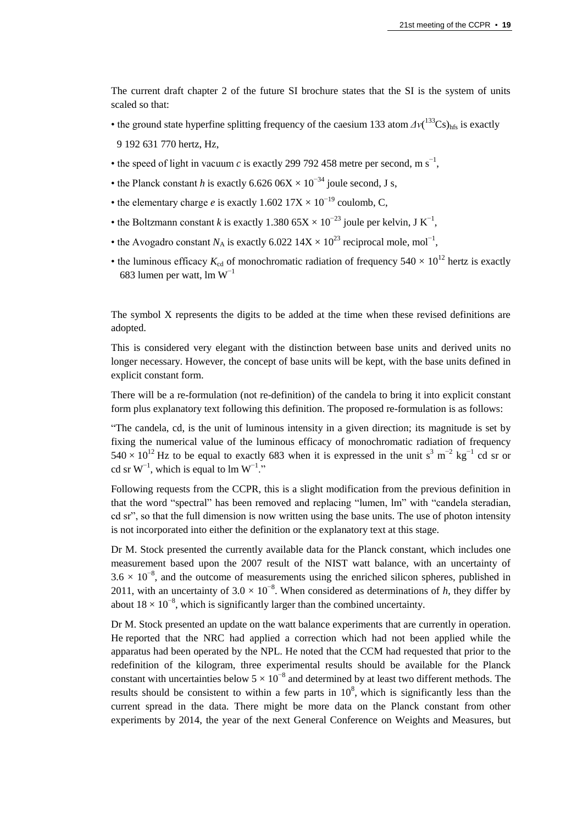The current draft chapter 2 of the future SI brochure states that the SI is the system of units scaled so that:

- the ground state hyperfine splitting frequency of the caesium 133 atom  $\Delta v(^{133}Cs)_{hfs}$  is exactly 9 192 631 770 hertz, Hz,
- the speed of light in vacuum *c* is exactly 299 792 458 metre per second, m  $s^{-1}$ ,
- the Planck constant *h* is exactly 6.626 06X  $\times$  10<sup>-34</sup> joule second, J s,
- the elementary charge *e* is exactly  $1.602\,17X \times 10^{-19}$  coulomb, C,
- the Boltzmann constant *k* is exactly 1.380  $65X \times 10^{-23}$  joule per kelvin, J K<sup>-1</sup>,
- the Avogadro constant  $N_A$  is exactly 6.022 14X × 10<sup>23</sup> reciprocal mole, mol<sup>-1</sup>,
- the luminous efficacy  $K_{cd}$  of monochromatic radiation of frequency  $540 \times 10^{12}$  hertz is exactly 683 lumen per watt, lm  $W^{-1}$

The symbol X represents the digits to be added at the time when these revised definitions are adopted.

This is considered very elegant with the distinction between base units and derived units no longer necessary. However, the concept of base units will be kept, with the base units defined in explicit constant form.

There will be a re-formulation (not re-definition) of the candela to bring it into explicit constant form plus explanatory text following this definition. The proposed re-formulation is as follows:

"The candela, cd, is the unit of luminous intensity in a given direction; its magnitude is set by fixing the numerical value of the luminous efficacy of monochromatic radiation of frequency  $540 \times 10^{12}$  Hz to be equal to exactly 683 when it is expressed in the unit s<sup>3</sup> m<sup>-2</sup> kg<sup>-1</sup> cd sr or cd sr  $W^{-1}$ , which is equal to lm  $W^{-1}$ ."

Following requests from the CCPR, this is a slight modification from the previous definition in that the word "spectral" has been removed and replacing "lumen, lm" with "candela steradian, cd sr", so that the full dimension is now written using the base units. The use of photon intensity is not incorporated into either the definition or the explanatory text at this stage.

Dr M. Stock presented the currently available data for the Planck constant, which includes one measurement based upon the 2007 result of the NIST watt balance, with an uncertainty of  $3.6 \times 10^{-8}$ , and the outcome of measurements using the enriched silicon spheres, published in 2011, with an uncertainty of  $3.0 \times 10^{-8}$ . When considered as determinations of *h*, they differ by about  $18 \times 10^{-8}$ , which is significantly larger than the combined uncertainty.

Dr M. Stock presented an update on the watt balance experiments that are currently in operation. He reported that the NRC had applied a correction which had not been applied while the apparatus had been operated by the NPL. He noted that the CCM had requested that prior to the redefinition of the kilogram, three experimental results should be available for the Planck constant with uncertainties below  $5 \times 10^{-8}$  and determined by at least two different methods. The results should be consistent to within a few parts in  $10^8$ , which is significantly less than the current spread in the data. There might be more data on the Planck constant from other experiments by 2014, the year of the next General Conference on Weights and Measures, but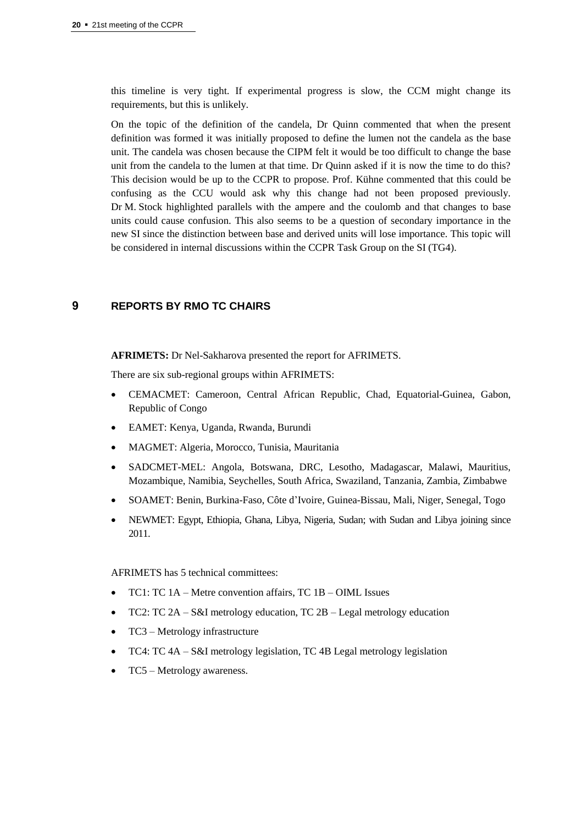this timeline is very tight. If experimental progress is slow, the CCM might change its requirements, but this is unlikely.

On the topic of the definition of the candela, Dr Quinn commented that when the present definition was formed it was initially proposed to define the lumen not the candela as the base unit. The candela was chosen because the CIPM felt it would be too difficult to change the base unit from the candela to the lumen at that time. Dr Quinn asked if it is now the time to do this? This decision would be up to the CCPR to propose. Prof. Kühne commented that this could be confusing as the CCU would ask why this change had not been proposed previously. Dr M. Stock highlighted parallels with the ampere and the coulomb and that changes to base units could cause confusion. This also seems to be a question of secondary importance in the new SI since the distinction between base and derived units will lose importance. This topic will be considered in internal discussions within the CCPR Task Group on the SI (TG4).

# **9 REPORTS BY RMO TC CHAIRS**

**AFRIMETS:** Dr Nel-Sakharova presented the report for AFRIMETS.

There are six sub-regional groups within AFRIMETS:

- CEMACMET: Cameroon, Central African Republic, Chad, Equatorial-Guinea, Gabon, Republic of Congo
- EAMET: Kenya, Uganda, Rwanda, Burundi
- MAGMET: Algeria, Morocco, Tunisia, Mauritania
- SADCMET-MEL: Angola, Botswana, DRC, Lesotho, Madagascar, Malawi, Mauritius, Mozambique, Namibia, Seychelles, South Africa, Swaziland, Tanzania, Zambia, Zimbabwe
- SOAMET: Benin, Burkina-Faso, Côte d'Ivoire, Guinea-Bissau, Mali, Niger, Senegal, Togo
- NEWMET: Egypt, Ethiopia, Ghana, Libya, Nigeria, Sudan; with Sudan and Libya joining since 2011.

AFRIMETS has 5 technical committees:

- TC1: TC 1A Metre convention affairs, TC 1B OIML Issues
- TC2: TC 2A S&I metrology education, TC 2B Legal metrology education
- TC3 Metrology infrastructure
- TC4: TC 4A S&I metrology legislation, TC 4B Legal metrology legislation
- TC5 Metrology awareness.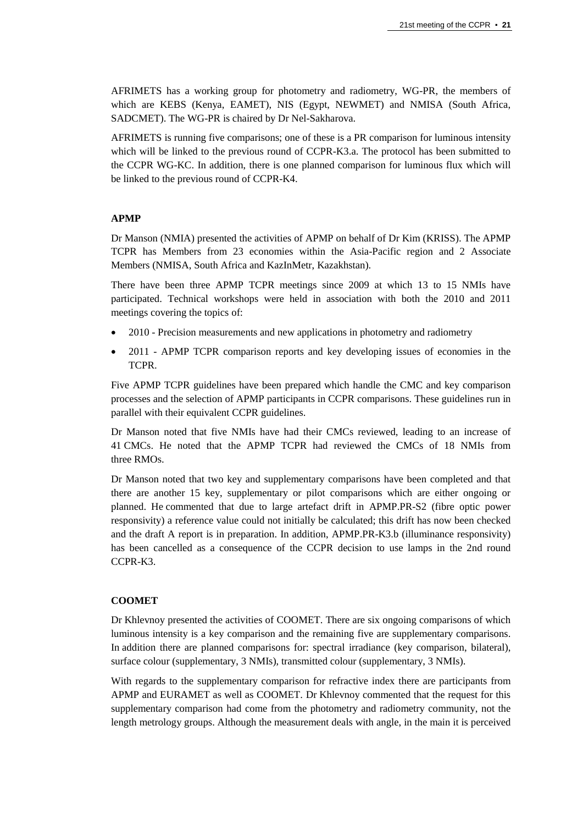AFRIMETS has a working group for photometry and radiometry, WG-PR, the members of which are KEBS (Kenya, EAMET), NIS (Egypt, NEWMET) and NMISA (South Africa, SADCMET). The WG-PR is chaired by Dr Nel-Sakharova.

AFRIMETS is running five comparisons; one of these is a PR comparison for luminous intensity which will be linked to the previous round of CCPR-K3.a. The protocol has been submitted to the CCPR WG-KC. In addition, there is one planned comparison for luminous flux which will be linked to the previous round of CCPR-K4.

## **APMP**

Dr Manson (NMIA) presented the activities of APMP on behalf of Dr Kim (KRISS). The APMP TCPR has Members from 23 economies within the Asia-Pacific region and 2 Associate Members (NMISA, South Africa and KazInMetr, Kazakhstan).

There have been three APMP TCPR meetings since 2009 at which 13 to 15 NMIs have participated. Technical workshops were held in association with both the 2010 and 2011 meetings covering the topics of:

- 2010 Precision measurements and new applications in photometry and radiometry
- 2011 APMP TCPR comparison reports and key developing issues of economies in the TCPR.

Five APMP TCPR guidelines have been prepared which handle the CMC and key comparison processes and the selection of APMP participants in CCPR comparisons. These guidelines run in parallel with their equivalent CCPR guidelines.

Dr Manson noted that five NMIs have had their CMCs reviewed, leading to an increase of 41 CMCs. He noted that the APMP TCPR had reviewed the CMCs of 18 NMIs from three RMOs.

Dr Manson noted that two key and supplementary comparisons have been completed and that there are another 15 key, supplementary or pilot comparisons which are either ongoing or planned. He commented that due to large artefact drift in APMP.PR-S2 (fibre optic power responsivity) a reference value could not initially be calculated; this drift has now been checked and the draft A report is in preparation. In addition, APMP.PR-K3.b (illuminance responsivity) has been cancelled as a consequence of the CCPR decision to use lamps in the 2nd round CCPR-K3.

## **COOMET**

Dr Khlevnoy presented the activities of COOMET. There are six ongoing comparisons of which luminous intensity is a key comparison and the remaining five are supplementary comparisons. In addition there are planned comparisons for: spectral irradiance (key comparison, bilateral), surface colour (supplementary, 3 NMIs), transmitted colour (supplementary, 3 NMIs).

With regards to the supplementary comparison for refractive index there are participants from APMP and EURAMET as well as COOMET. Dr Khlevnoy commented that the request for this supplementary comparison had come from the photometry and radiometry community, not the length metrology groups. Although the measurement deals with angle, in the main it is perceived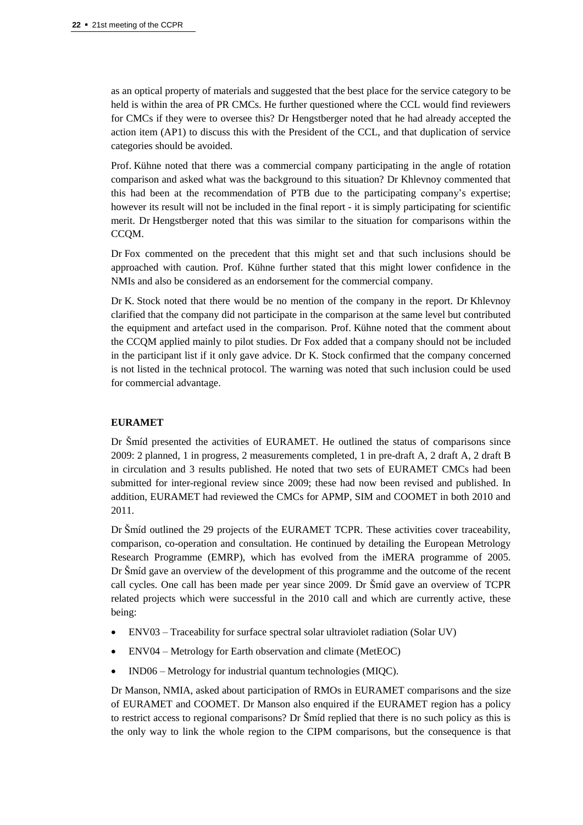as an optical property of materials and suggested that the best place for the service category to be held is within the area of PR CMCs. He further questioned where the CCL would find reviewers for CMCs if they were to oversee this? Dr Hengstberger noted that he had already accepted the action item (AP1) to discuss this with the President of the CCL, and that duplication of service categories should be avoided.

Prof. Kühne noted that there was a commercial company participating in the angle of rotation comparison and asked what was the background to this situation? Dr Khlevnoy commented that this had been at the recommendation of PTB due to the participating company's expertise; however its result will not be included in the final report - it is simply participating for scientific merit. Dr Hengstberger noted that this was similar to the situation for comparisons within the CCQM.

Dr Fox commented on the precedent that this might set and that such inclusions should be approached with caution. Prof. Kühne further stated that this might lower confidence in the NMIs and also be considered as an endorsement for the commercial company.

Dr K. Stock noted that there would be no mention of the company in the report. Dr Khlevnoy clarified that the company did not participate in the comparison at the same level but contributed the equipment and artefact used in the comparison. Prof. Kühne noted that the comment about the CCQM applied mainly to pilot studies. Dr Fox added that a company should not be included in the participant list if it only gave advice. Dr K. Stock confirmed that the company concerned is not listed in the technical protocol. The warning was noted that such inclusion could be used for commercial advantage.

## **EURAMET**

Dr Šmíd presented the activities of EURAMET. He outlined the status of comparisons since 2009: 2 planned, 1 in progress, 2 measurements completed, 1 in pre-draft A, 2 draft A, 2 draft B in circulation and 3 results published. He noted that two sets of EURAMET CMCs had been submitted for inter-regional review since 2009; these had now been revised and published. In addition, EURAMET had reviewed the CMCs for APMP, SIM and COOMET in both 2010 and 2011.

Dr Šmíd outlined the 29 projects of the EURAMET TCPR. These activities cover traceability, comparison, co-operation and consultation. He continued by detailing the European Metrology Research Programme (EMRP), which has evolved from the iMERA programme of 2005. Dr Šmíd gave an overview of the development of this programme and the outcome of the recent call cycles. One call has been made per year since 2009. Dr Šmíd gave an overview of TCPR related projects which were successful in the 2010 call and which are currently active, these being:

- ENV03 Traceability for surface spectral solar ultraviolet radiation (Solar UV)
- ENV04 Metrology for Earth observation and climate (MetEOC)
- IND06 Metrology for industrial quantum technologies (MIQC).

Dr Manson, NMIA, asked about participation of RMOs in EURAMET comparisons and the size of EURAMET and COOMET. Dr Manson also enquired if the EURAMET region has a policy to restrict access to regional comparisons? Dr Šmíd replied that there is no such policy as this is the only way to link the whole region to the CIPM comparisons, but the consequence is that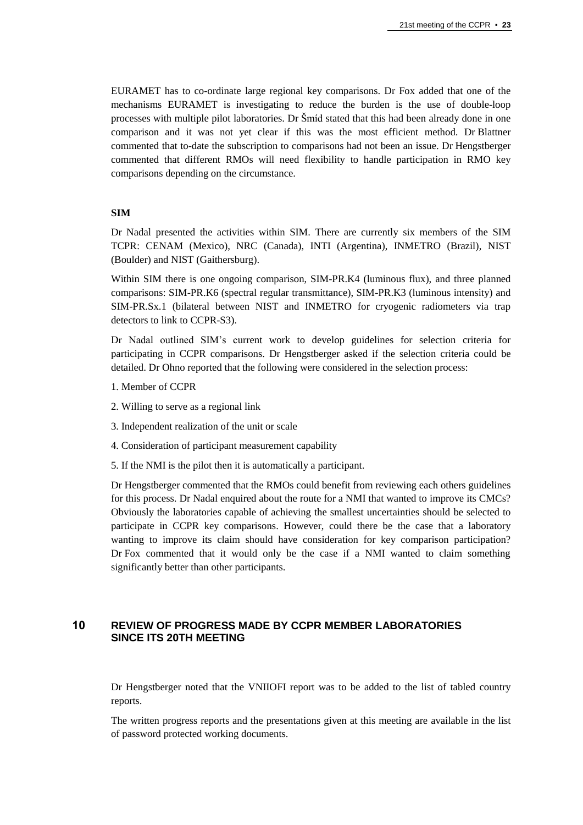EURAMET has to co-ordinate large regional key comparisons. Dr Fox added that one of the mechanisms EURAMET is investigating to reduce the burden is the use of double-loop processes with multiple pilot laboratories. Dr Šmíd stated that this had been already done in one comparison and it was not yet clear if this was the most efficient method. Dr Blattner commented that to-date the subscription to comparisons had not been an issue. Dr Hengstberger commented that different RMOs will need flexibility to handle participation in RMO key comparisons depending on the circumstance.

## **SIM**

Dr Nadal presented the activities within SIM. There are currently six members of the SIM TCPR: CENAM (Mexico), NRC (Canada), INTI (Argentina), INMETRO (Brazil), NIST (Boulder) and NIST (Gaithersburg).

Within SIM there is one ongoing comparison, SIM-PR.K4 (luminous flux), and three planned comparisons: SIM-PR.K6 (spectral regular transmittance), SIM-PR.K3 (luminous intensity) and SIM-PR.Sx.1 (bilateral between NIST and INMETRO for cryogenic radiometers via trap detectors to link to CCPR-S3).

Dr Nadal outlined SIM's current work to develop guidelines for selection criteria for participating in CCPR comparisons. Dr Hengstberger asked if the selection criteria could be detailed. Dr Ohno reported that the following were considered in the selection process:

- 1. Member of CCPR
- 2. Willing to serve as a regional link
- 3. Independent realization of the unit or scale
- 4. Consideration of participant measurement capability
- 5. If the NMI is the pilot then it is automatically a participant.

Dr Hengstberger commented that the RMOs could benefit from reviewing each others guidelines for this process. Dr Nadal enquired about the route for a NMI that wanted to improve its CMCs? Obviously the laboratories capable of achieving the smallest uncertainties should be selected to participate in CCPR key comparisons. However, could there be the case that a laboratory wanting to improve its claim should have consideration for key comparison participation? Dr Fox commented that it would only be the case if a NMI wanted to claim something significantly better than other participants.

## **10 REVIEW OF PROGRESS MADE BY CCPR MEMBER LABORATORIES SINCE ITS 20TH MEETING**

Dr Hengstberger noted that the VNIIOFI report was to be added to the list of tabled country reports.

The written progress reports and the presentations given at this meeting are available in the list of password protected working documents.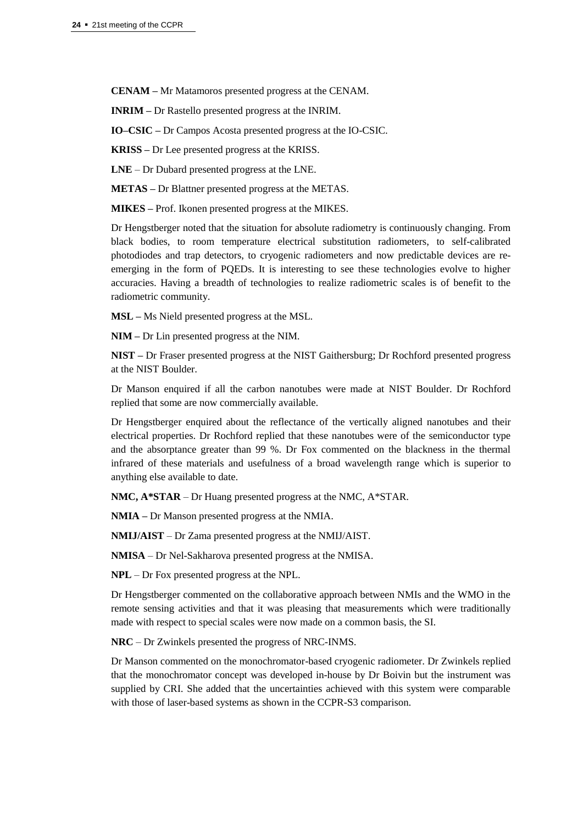**CENAM –** Mr Matamoros presented progress at the CENAM.

**INRIM –** Dr Rastello presented progress at the INRIM.

**IO–CSIC –** Dr Campos Acosta presented progress at the IO-CSIC.

**KRISS –** Dr Lee presented progress at the KRISS.

**LNE** – Dr Dubard presented progress at the LNE.

**METAS –** Dr Blattner presented progress at the METAS.

**MIKES –** Prof. Ikonen presented progress at the MIKES.

Dr Hengstberger noted that the situation for absolute radiometry is continuously changing. From black bodies, to room temperature electrical substitution radiometers, to self-calibrated photodiodes and trap detectors, to cryogenic radiometers and now predictable devices are reemerging in the form of PQEDs. It is interesting to see these technologies evolve to higher accuracies. Having a breadth of technologies to realize radiometric scales is of benefit to the radiometric community.

**MSL –** Ms Nield presented progress at the MSL.

**NIM –** Dr Lin presented progress at the NIM.

**NIST –** Dr Fraser presented progress at the NIST Gaithersburg; Dr Rochford presented progress at the NIST Boulder.

Dr Manson enquired if all the carbon nanotubes were made at NIST Boulder. Dr Rochford replied that some are now commercially available.

Dr Hengstberger enquired about the reflectance of the vertically aligned nanotubes and their electrical properties. Dr Rochford replied that these nanotubes were of the semiconductor type and the absorptance greater than 99 %. Dr Fox commented on the blackness in the thermal infrared of these materials and usefulness of a broad wavelength range which is superior to anything else available to date.

**NMC, A\*STAR** – Dr Huang presented progress at the NMC, A\*STAR.

**NMIA –** Dr Manson presented progress at the NMIA.

**NMIJ/AIST** – Dr Zama presented progress at the NMIJ/AIST.

**NMISA** – Dr Nel-Sakharova presented progress at the NMISA.

**NPL** – Dr Fox presented progress at the NPL.

Dr Hengstberger commented on the collaborative approach between NMIs and the WMO in the remote sensing activities and that it was pleasing that measurements which were traditionally made with respect to special scales were now made on a common basis, the SI.

**NRC** – Dr Zwinkels presented the progress of NRC-INMS.

Dr Manson commented on the monochromator-based cryogenic radiometer. Dr Zwinkels replied that the monochromator concept was developed in-house by Dr Boivin but the instrument was supplied by CRI. She added that the uncertainties achieved with this system were comparable with those of laser-based systems as shown in the CCPR-S3 comparison.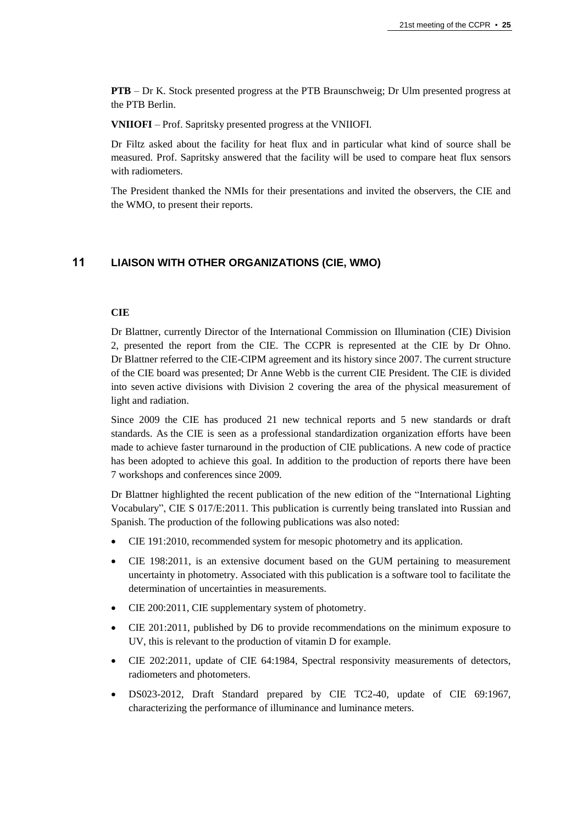**PTB** – Dr K. Stock presented progress at the PTB Braunschweig; Dr Ulm presented progress at the PTB Berlin.

**VNIIOFI** – Prof. Sapritsky presented progress at the VNIIOFI.

Dr Filtz asked about the facility for heat flux and in particular what kind of source shall be measured. Prof. Sapritsky answered that the facility will be used to compare heat flux sensors with radiometers.

The President thanked the NMIs for their presentations and invited the observers, the CIE and the WMO, to present their reports.

# **11 LIAISON WITH OTHER ORGANIZATIONS (CIE, WMO)**

## **CIE**

Dr Blattner, currently Director of the International Commission on Illumination (CIE) Division 2, presented the report from the CIE. The CCPR is represented at the CIE by Dr Ohno. Dr Blattner referred to the CIE-CIPM agreement and its history since 2007. The current structure of the CIE board was presented; Dr Anne Webb is the current CIE President. The CIE is divided into seven active divisions with Division 2 covering the area of the physical measurement of light and radiation.

Since 2009 the CIE has produced 21 new technical reports and 5 new standards or draft standards. As the CIE is seen as a professional standardization organization efforts have been made to achieve faster turnaround in the production of CIE publications. A new code of practice has been adopted to achieve this goal. In addition to the production of reports there have been 7 workshops and conferences since 2009.

Dr Blattner highlighted the recent publication of the new edition of the "International Lighting Vocabulary", CIE S 017/E:2011. This publication is currently being translated into Russian and Spanish. The production of the following publications was also noted:

- CIE 191:2010, recommended system for mesopic photometry and its application.
- CIE 198:2011, is an extensive document based on the GUM pertaining to measurement uncertainty in photometry. Associated with this publication is a software tool to facilitate the determination of uncertainties in measurements.
- CIE 200:2011, CIE supplementary system of photometry.
- CIE 201:2011, published by D6 to provide recommendations on the minimum exposure to UV, this is relevant to the production of vitamin D for example.
- CIE 202:2011, update of CIE 64:1984, Spectral responsivity measurements of detectors, radiometers and photometers.
- DS023-2012, Draft Standard prepared by CIE TC2-40, update of CIE 69:1967, characterizing the performance of illuminance and luminance meters.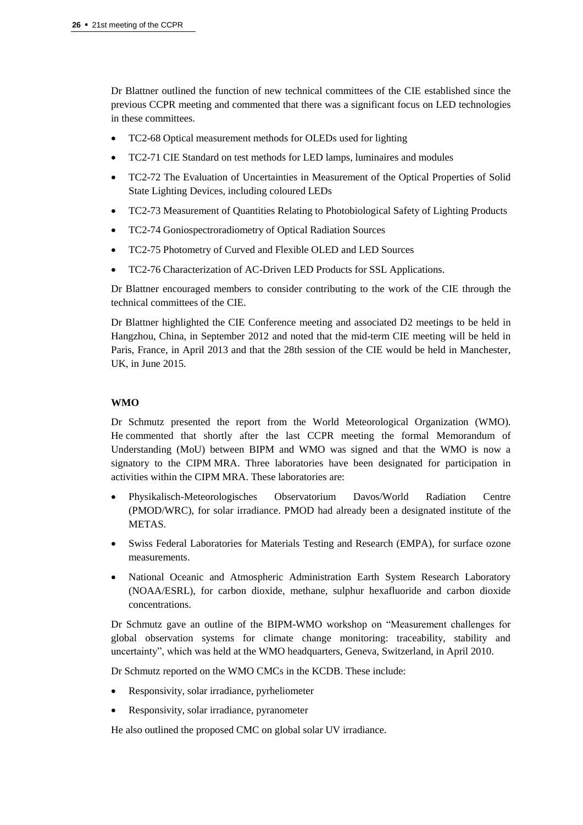Dr Blattner outlined the function of new technical committees of the CIE established since the previous CCPR meeting and commented that there was a significant focus on LED technologies in these committees.

- TC2-68 Optical measurement methods for OLEDs used for lighting
- TC2-71 CIE Standard on test methods for LED lamps, luminaires and modules
- TC2-72 The Evaluation of Uncertainties in Measurement of the Optical Properties of Solid State Lighting Devices, including coloured LEDs
- TC2-73 Measurement of Quantities Relating to Photobiological Safety of Lighting Products
- TC2-74 Goniospectroradiometry of Optical Radiation Sources
- TC2-75 Photometry of Curved and Flexible OLED and LED Sources
- TC2-76 Characterization of AC-Driven LED Products for SSL Applications.

Dr Blattner encouraged members to consider contributing to the work of the CIE through the technical committees of the CIE.

Dr Blattner highlighted the CIE Conference meeting and associated D2 meetings to be held in Hangzhou, China, in September 2012 and noted that the mid-term CIE meeting will be held in Paris, France, in April 2013 and that the 28th session of the CIE would be held in Manchester, UK, in June 2015.

## **WMO**

Dr Schmutz presented the report from the World Meteorological Organization (WMO). He commented that shortly after the last CCPR meeting the formal Memorandum of Understanding (MoU) between BIPM and WMO was signed and that the WMO is now a signatory to the CIPM MRA. Three laboratories have been designated for participation in activities within the CIPM MRA. These laboratories are:

- Physikalisch-Meteorologisches Observatorium Davos/World Radiation Centre (PMOD/WRC), for solar irradiance. PMOD had already been a designated institute of the METAS.
- Swiss Federal Laboratories for Materials Testing and Research (EMPA), for surface ozone measurements.
- National Oceanic and Atmospheric Administration Earth System Research Laboratory (NOAA/ESRL), for carbon dioxide, methane, sulphur hexafluoride and carbon dioxide concentrations.

Dr Schmutz gave an outline of the BIPM-WMO workshop on "Measurement challenges for global observation systems for climate change monitoring: traceability, stability and uncertainty", which was held at the WMO headquarters, Geneva, Switzerland, in April 2010.

Dr Schmutz reported on the WMO CMCs in the KCDB. These include:

- Responsivity, solar irradiance, pyrheliometer
- Responsivity, solar irradiance, pyranometer

He also outlined the proposed CMC on global solar UV irradiance.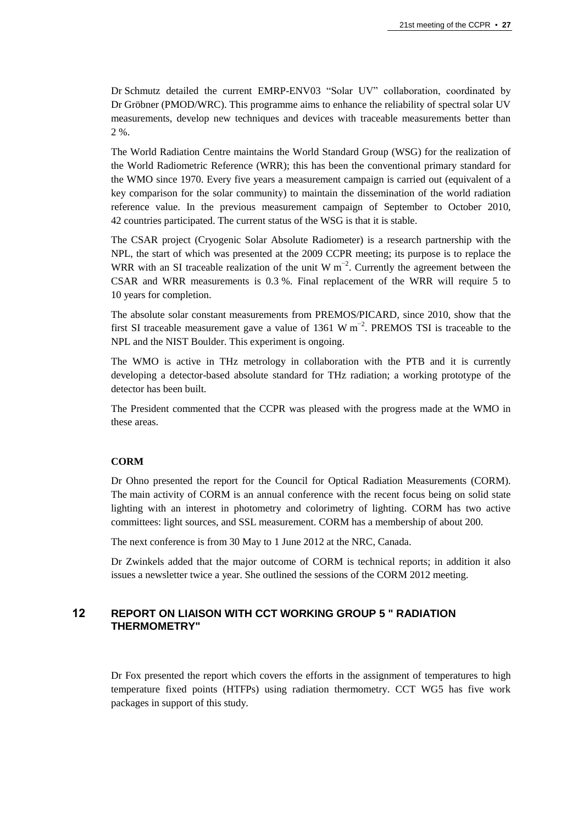Dr Schmutz detailed the current EMRP-ENV03 "Solar UV" collaboration, coordinated by Dr Gröbner (PMOD/WRC). This programme aims to enhance the reliability of spectral solar UV measurements, develop new techniques and devices with traceable measurements better than 2 %.

The World Radiation Centre maintains the World Standard Group (WSG) for the realization of the World Radiometric Reference (WRR); this has been the conventional primary standard for the WMO since 1970. Every five years a measurement campaign is carried out (equivalent of a key comparison for the solar community) to maintain the dissemination of the world radiation reference value. In the previous measurement campaign of September to October 2010, 42 countries participated. The current status of the WSG is that it is stable.

The CSAR project (Cryogenic Solar Absolute Radiometer) is a research partnership with the NPL, the start of which was presented at the 2009 CCPR meeting; its purpose is to replace the WRR with an SI traceable realization of the unit W  $m^{-2}$ . Currently the agreement between the CSAR and WRR measurements is 0.3 %. Final replacement of the WRR will require 5 to 10 years for completion.

The absolute solar constant measurements from PREMOS/PICARD, since 2010, show that the first SI traceable measurement gave a value of 1361 W  $m^{-2}$ . PREMOS TSI is traceable to the NPL and the NIST Boulder. This experiment is ongoing.

The WMO is active in THz metrology in collaboration with the PTB and it is currently developing a detector-based absolute standard for THz radiation; a working prototype of the detector has been built.

The President commented that the CCPR was pleased with the progress made at the WMO in these areas.

#### **CORM**

Dr Ohno presented the report for the Council for Optical Radiation Measurements (CORM). The main activity of CORM is an annual conference with the recent focus being on solid state lighting with an interest in photometry and colorimetry of lighting. CORM has two active committees: light sources, and SSL measurement. CORM has a membership of about 200.

The next conference is from 30 May to 1 June 2012 at the NRC, Canada.

Dr Zwinkels added that the major outcome of CORM is technical reports; in addition it also issues a newsletter twice a year. She outlined the sessions of the CORM 2012 meeting.

## **12 REPORT ON LIAISON WITH CCT WORKING GROUP 5 " RADIATION THERMOMETRY"**

Dr Fox presented the report which covers the efforts in the assignment of temperatures to high temperature fixed points (HTFPs) using radiation thermometry. CCT WG5 has five work packages in support of this study.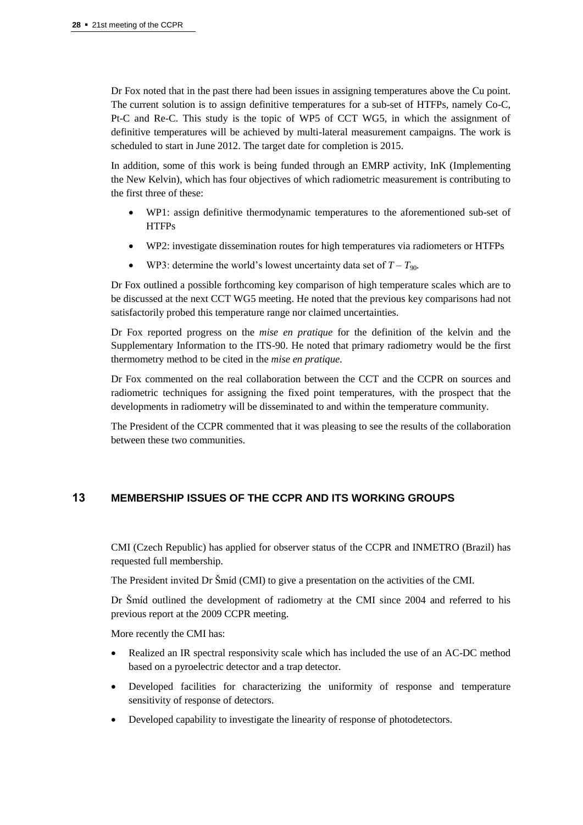Dr Fox noted that in the past there had been issues in assigning temperatures above the Cu point. The current solution is to assign definitive temperatures for a sub-set of HTFPs, namely Co-C, Pt-C and Re-C. This study is the topic of WP5 of CCT WG5, in which the assignment of definitive temperatures will be achieved by multi-lateral measurement campaigns. The work is scheduled to start in June 2012. The target date for completion is 2015.

In addition, some of this work is being funded through an EMRP activity, InK (Implementing the New Kelvin), which has four objectives of which radiometric measurement is contributing to the first three of these:

- WP1: assign definitive thermodynamic temperatures to the aforementioned sub-set of **HTFPs**
- WP2: investigate dissemination routes for high temperatures via radiometers or HTFPs
- WP3: determine the world's lowest uncertainty data set of  $T T_{90}$ .

Dr Fox outlined a possible forthcoming key comparison of high temperature scales which are to be discussed at the next CCT WG5 meeting. He noted that the previous key comparisons had not satisfactorily probed this temperature range nor claimed uncertainties.

Dr Fox reported progress on the *mise en pratique* for the definition of the kelvin and the Supplementary Information to the ITS-90. He noted that primary radiometry would be the first thermometry method to be cited in the *mise en pratique.*

Dr Fox commented on the real collaboration between the CCT and the CCPR on sources and radiometric techniques for assigning the fixed point temperatures, with the prospect that the developments in radiometry will be disseminated to and within the temperature community.

The President of the CCPR commented that it was pleasing to see the results of the collaboration between these two communities.

# **13 MEMBERSHIP ISSUES OF THE CCPR AND ITS WORKING GROUPS**

CMI (Czech Republic) has applied for observer status of the CCPR and INMETRO (Brazil) has requested full membership.

The President invited Dr Šmíd (CMI) to give a presentation on the activities of the CMI.

Dr Šmíd outlined the development of radiometry at the CMI since 2004 and referred to his previous report at the 2009 CCPR meeting.

More recently the CMI has:

- Realized an IR spectral responsivity scale which has included the use of an AC-DC method based on a pyroelectric detector and a trap detector.
- Developed facilities for characterizing the uniformity of response and temperature sensitivity of response of detectors.
- Developed capability to investigate the linearity of response of photodetectors.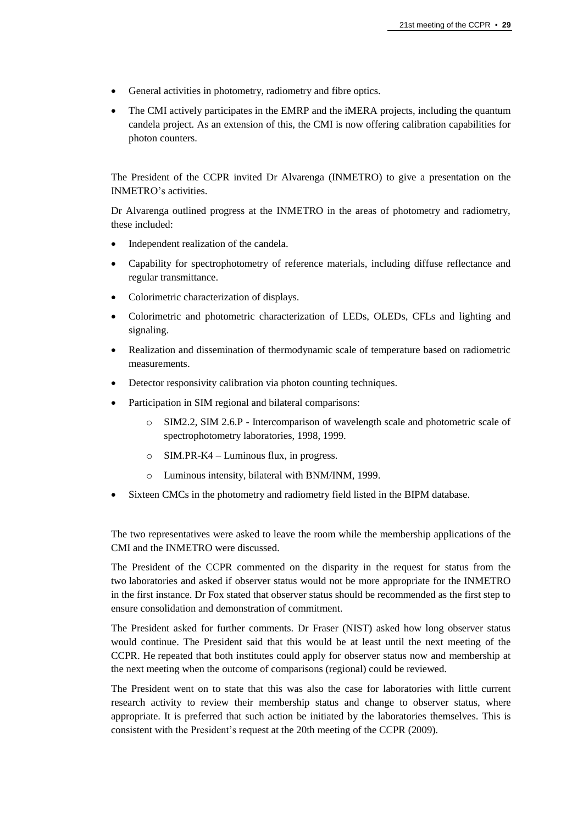- General activities in photometry, radiometry and fibre optics.
- The CMI actively participates in the EMRP and the iMERA projects, including the quantum candela project. As an extension of this, the CMI is now offering calibration capabilities for photon counters.

The President of the CCPR invited Dr Alvarenga (INMETRO) to give a presentation on the INMETRO's activities.

Dr Alvarenga outlined progress at the INMETRO in the areas of photometry and radiometry, these included:

- Independent realization of the candela.
- Capability for spectrophotometry of reference materials, including diffuse reflectance and regular transmittance.
- Colorimetric characterization of displays.
- Colorimetric and photometric characterization of LEDs, OLEDs, CFLs and lighting and signaling.
- Realization and dissemination of thermodynamic scale of temperature based on radiometric measurements.
- Detector responsivity calibration via photon counting techniques.
- Participation in SIM regional and bilateral comparisons:
	- o SIM2.2, SIM 2.6.P Intercomparison of wavelength scale and photometric scale of spectrophotometry laboratories, 1998, 1999.
	- o SIM.PR-K4 Luminous flux, in progress.
	- o Luminous intensity, bilateral with BNM/INM, 1999.
- Sixteen CMCs in the photometry and radiometry field listed in the BIPM database.

The two representatives were asked to leave the room while the membership applications of the CMI and the INMETRO were discussed.

The President of the CCPR commented on the disparity in the request for status from the two laboratories and asked if observer status would not be more appropriate for the INMETRO in the first instance. Dr Fox stated that observer status should be recommended as the first step to ensure consolidation and demonstration of commitment.

The President asked for further comments. Dr Fraser (NIST) asked how long observer status would continue. The President said that this would be at least until the next meeting of the CCPR. He repeated that both institutes could apply for observer status now and membership at the next meeting when the outcome of comparisons (regional) could be reviewed.

The President went on to state that this was also the case for laboratories with little current research activity to review their membership status and change to observer status, where appropriate. It is preferred that such action be initiated by the laboratories themselves. This is consistent with the President's request at the 20th meeting of the CCPR (2009).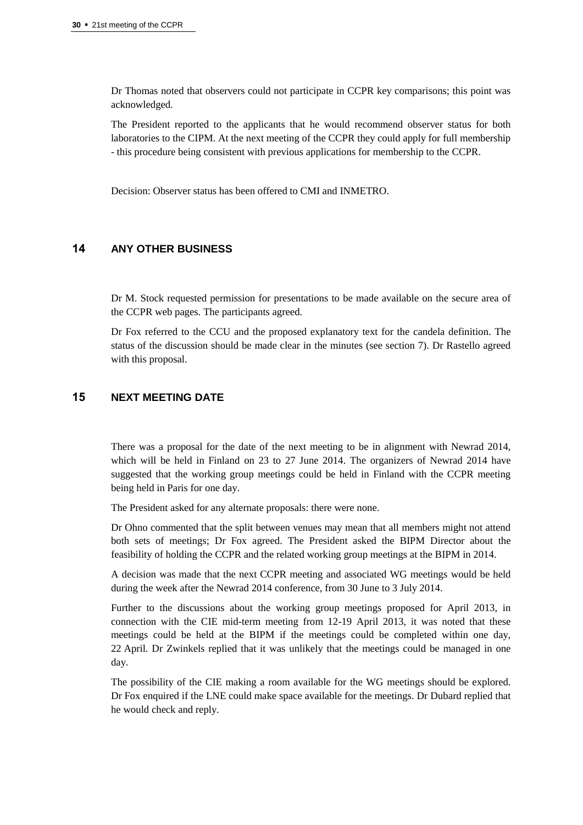Dr Thomas noted that observers could not participate in CCPR key comparisons; this point was acknowledged.

The President reported to the applicants that he would recommend observer status for both laboratories to the CIPM. At the next meeting of the CCPR they could apply for full membership - this procedure being consistent with previous applications for membership to the CCPR.

Decision: Observer status has been offered to CMI and INMETRO.

# **14 ANY OTHER BUSINESS**

Dr M. Stock requested permission for presentations to be made available on the secure area of the CCPR web pages. The participants agreed.

Dr Fox referred to the CCU and the proposed explanatory text for the candela definition. The status of the discussion should be made clear in the minutes (see section 7). Dr Rastello agreed with this proposal.

## **15 NEXT MEETING DATE**

There was a proposal for the date of the next meeting to be in alignment with Newrad 2014, which will be held in Finland on 23 to 27 June 2014. The organizers of Newrad 2014 have suggested that the working group meetings could be held in Finland with the CCPR meeting being held in Paris for one day.

The President asked for any alternate proposals: there were none.

Dr Ohno commented that the split between venues may mean that all members might not attend both sets of meetings; Dr Fox agreed. The President asked the BIPM Director about the feasibility of holding the CCPR and the related working group meetings at the BIPM in 2014.

A decision was made that the next CCPR meeting and associated WG meetings would be held during the week after the Newrad 2014 conference, from 30 June to 3 July 2014.

Further to the discussions about the working group meetings proposed for April 2013, in connection with the CIE mid-term meeting from 12-19 April 2013, it was noted that these meetings could be held at the BIPM if the meetings could be completed within one day, 22 April. Dr Zwinkels replied that it was unlikely that the meetings could be managed in one day.

The possibility of the CIE making a room available for the WG meetings should be explored. Dr Fox enquired if the LNE could make space available for the meetings. Dr Dubard replied that he would check and reply.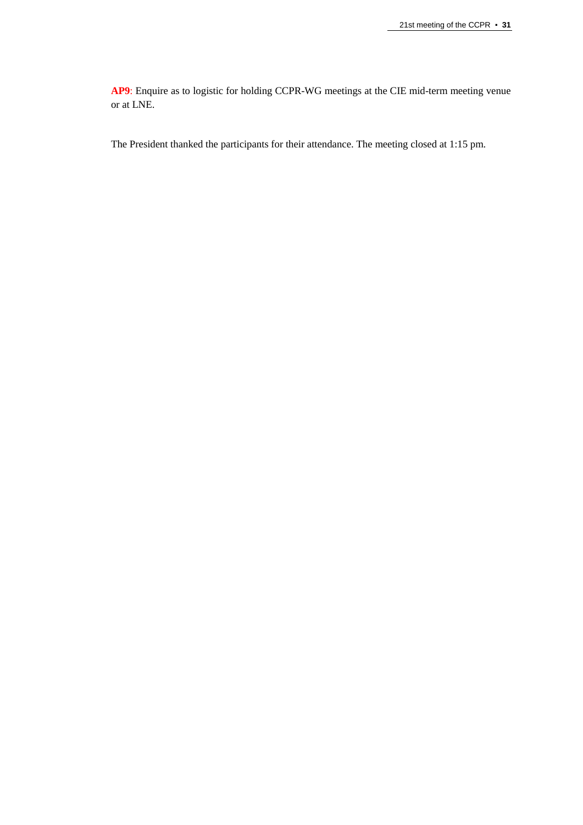**AP9**: Enquire as to logistic for holding CCPR-WG meetings at the CIE mid-term meeting venue or at LNE.

The President thanked the participants for their attendance. The meeting closed at 1:15 pm.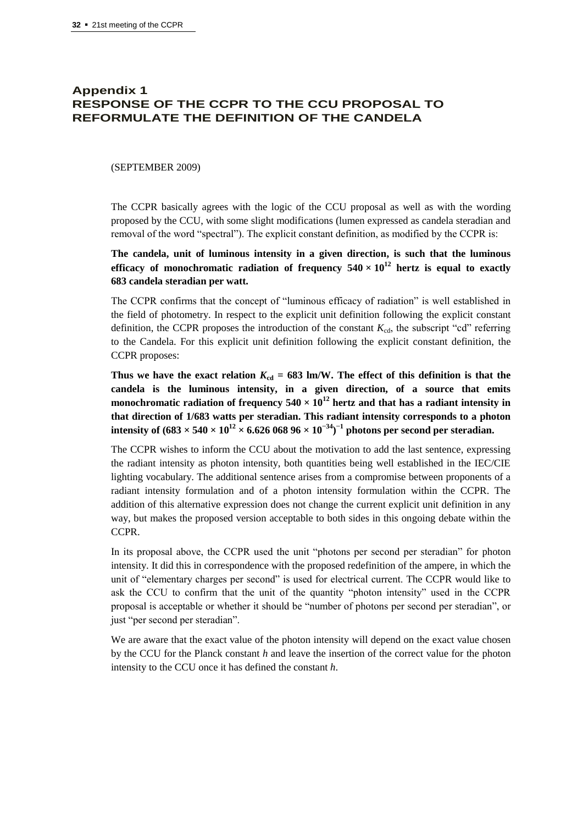# **Appendix 1 RESPONSE OF THE CCPR TO THE CCU PROPOSAL TO REFORMULATE THE DEFINITION OF THE CANDELA**

#### (SEPTEMBER 2009)

The CCPR basically agrees with the logic of the CCU proposal as well as with the wording proposed by the CCU, with some slight modifications (lumen expressed as candela steradian and removal of the word "spectral"). The explicit constant definition, as modified by the CCPR is:

**The candela, unit of luminous intensity in a given direction, is such that the luminous efficacy of monochromatic radiation of frequency**  $540 \times 10^{12}$  **hertz is equal to exactly 683 candela steradian per watt.**

The CCPR confirms that the concept of "luminous efficacy of radiation" is well established in the field of photometry. In respect to the explicit unit definition following the explicit constant definition, the CCPR proposes the introduction of the constant  $K_{cd}$ , the subscript "cd" referring to the Candela. For this explicit unit definition following the explicit constant definition, the CCPR proposes:

Thus we have the exact relation  $K_{cd} = 683$  lm/W. The effect of this definition is that the **candela is the luminous intensity, in a given direction, of a source that emits monochromatic radiation of frequency**  $540 \times 10^{12}$  **hertz and that has a radiant intensity in that direction of 1/683 watts per steradian. This radiant intensity corresponds to a photon**   $\textbf{intensity of } (683 \times 540 \times 10^{12} \times 6.626\ 068\ 96 \times 10^{-34})^{-1} \text{ photons per second per steradian.}$ 

The CCPR wishes to inform the CCU about the motivation to add the last sentence, expressing the radiant intensity as photon intensity, both quantities being well established in the IEC/CIE lighting vocabulary. The additional sentence arises from a compromise between proponents of a radiant intensity formulation and of a photon intensity formulation within the CCPR. The addition of this alternative expression does not change the current explicit unit definition in any way, but makes the proposed version acceptable to both sides in this ongoing debate within the CCPR.

In its proposal above, the CCPR used the unit "photons per second per steradian" for photon intensity. It did this in correspondence with the proposed redefinition of the ampere, in which the unit of "elementary charges per second" is used for electrical current. The CCPR would like to ask the CCU to confirm that the unit of the quantity "photon intensity" used in the CCPR proposal is acceptable or whether it should be "number of photons per second per steradian", or just "per second per steradian".

We are aware that the exact value of the photon intensity will depend on the exact value chosen by the CCU for the Planck constant *h* and leave the insertion of the correct value for the photon intensity to the CCU once it has defined the constant *h*.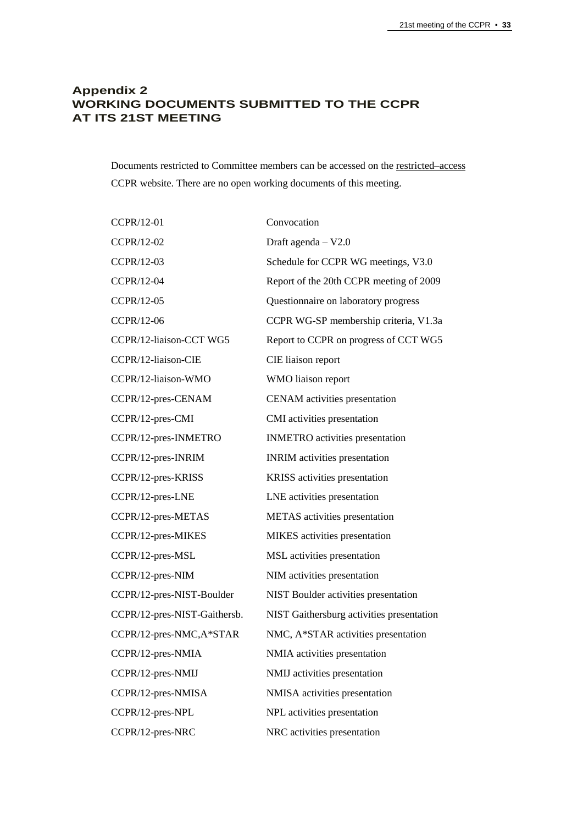# **Appendix 2 WORKING DOCUMENTS SUBMITTED TO THE CCPR AT ITS 21ST MEETING**

Documents restricted to Committee members can be accessed on th[e restricted–access](https://www.bipm.org/cc/CCPR/Restricted/WorkingDocuments.jsp) CCPR website. There are no open working documents of this meeting.

| CCPR/12-01                   | Convocation                               |
|------------------------------|-------------------------------------------|
| CCPR/12-02                   | Draft agenda $-$ V2.0                     |
| CCPR/12-03                   | Schedule for CCPR WG meetings, V3.0       |
| CCPR/12-04                   | Report of the 20th CCPR meeting of 2009   |
| CCPR/12-05                   | Questionnaire on laboratory progress      |
| CCPR/12-06                   | CCPR WG-SP membership criteria, V1.3a     |
| CCPR/12-liaison-CCT WG5      | Report to CCPR on progress of CCT WG5     |
| CCPR/12-liaison-CIE          | CIE liaison report                        |
| CCPR/12-liaison-WMO          | WMO liaison report                        |
| CCPR/12-pres-CENAM           | <b>CENAM</b> activities presentation      |
| CCPR/12-pres-CMI             | CMI activities presentation               |
| CCPR/12-pres-INMETRO         | <b>INMETRO</b> activities presentation    |
| CCPR/12-pres-INRIM           | <b>INRIM</b> activities presentation      |
| CCPR/12-pres-KRISS           | KRISS activities presentation             |
| CCPR/12-pres-LNE             | LNE activities presentation               |
| CCPR/12-pres-METAS           | <b>METAS</b> activities presentation      |
| CCPR/12-pres-MIKES           | MIKES activities presentation             |
| CCPR/12-pres-MSL             | MSL activities presentation               |
| CCPR/12-pres-NIM             | NIM activities presentation               |
| CCPR/12-pres-NIST-Boulder    | NIST Boulder activities presentation      |
| CCPR/12-pres-NIST-Gaithersb. | NIST Gaithersburg activities presentation |
| CCPR/12-pres-NMC,A*STAR      | NMC, A*STAR activities presentation       |
| CCPR/12-pres-NMIA            | NMIA activities presentation              |
| CCPR/12-pres-NMIJ            | NMIJ activities presentation              |
| CCPR/12-pres-NMISA           | NMISA activities presentation             |
| CCPR/12-pres-NPL             | NPL activities presentation               |
| CCPR/12-pres-NRC             | NRC activities presentation               |